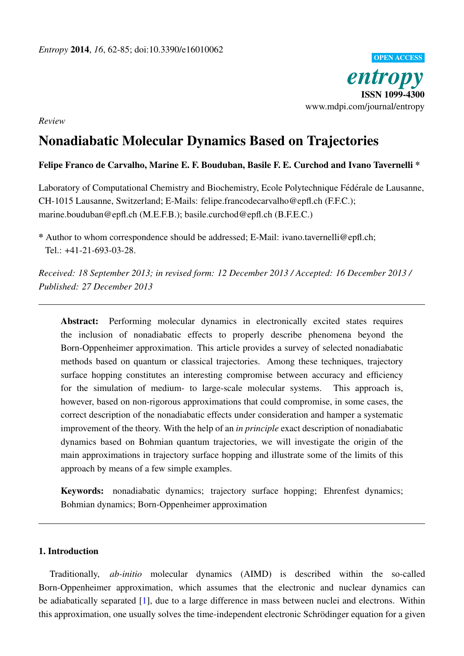

*Review*

# Nonadiabatic Molecular Dynamics Based on Trajectories

# Felipe Franco de Carvalho, Marine E. F. Bouduban, Basile F. E. Curchod and Ivano Tavernelli \*

Laboratory of Computational Chemistry and Biochemistry, Ecole Polytechnique Fédérale de Lausanne, CH-1015 Lausanne, Switzerland; E-Mails: felipe.francodecarvalho@epfl.ch (F.F.C.); marine.bouduban@epfl.ch (M.E.F.B.); basile.curchod@epfl.ch (B.F.E.C.)

\* Author to whom correspondence should be addressed; E-Mail: ivano.tavernelli@epfl.ch; Tel.: +41-21-693-03-28.

*Received: 18 September 2013; in revised form: 12 December 2013 / Accepted: 16 December 2013 / Published: 27 December 2013*

Abstract: Performing molecular dynamics in electronically excited states requires the inclusion of nonadiabatic effects to properly describe phenomena beyond the Born-Oppenheimer approximation. This article provides a survey of selected nonadiabatic methods based on quantum or classical trajectories. Among these techniques, trajectory surface hopping constitutes an interesting compromise between accuracy and efficiency for the simulation of medium- to large-scale molecular systems. This approach is, however, based on non-rigorous approximations that could compromise, in some cases, the correct description of the nonadiabatic effects under consideration and hamper a systematic improvement of the theory. With the help of an *in principle* exact description of nonadiabatic dynamics based on Bohmian quantum trajectories, we will investigate the origin of the main approximations in trajectory surface hopping and illustrate some of the limits of this approach by means of a few simple examples.

Keywords: nonadiabatic dynamics; trajectory surface hopping; Ehrenfest dynamics; Bohmian dynamics; Born-Oppenheimer approximation

## 1. Introduction

Traditionally, *ab-initio* molecular dynamics (AIMD) is described within the so-called Born-Oppenheimer approximation, which assumes that the electronic and nuclear dynamics can be adiabatically separated [\[1\]](#page-19-0), due to a large difference in mass between nuclei and electrons. Within this approximation, one usually solves the time-independent electronic Schrödinger equation for a given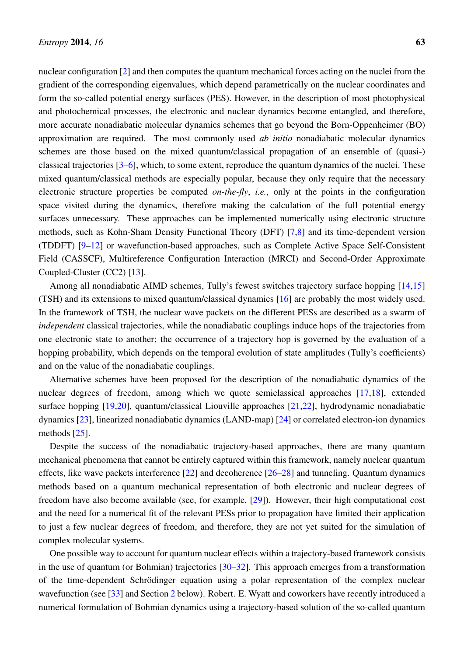nuclear configuration [\[2\]](#page-19-1) and then computes the quantum mechanical forces acting on the nuclei from the gradient of the corresponding eigenvalues, which depend parametrically on the nuclear coordinates and form the so-called potential energy surfaces (PES). However, in the description of most photophysical and photochemical processes, the electronic and nuclear dynamics become entangled, and therefore, more accurate nonadiabatic molecular dynamics schemes that go beyond the Born-Oppenheimer (BO) approximation are required. The most commonly used *ab initio* nonadiabatic molecular dynamics schemes are those based on the mixed quantum/classical propagation of an ensemble of (quasi-) classical trajectories [\[3–](#page-19-2)[6\]](#page-19-3), which, to some extent, reproduce the quantum dynamics of the nuclei. These mixed quantum/classical methods are especially popular, because they only require that the necessary electronic structure properties be computed *on-the-fly*, *i.e.*, only at the points in the configuration space visited during the dynamics, therefore making the calculation of the full potential energy surfaces unnecessary. These approaches can be implemented numerically using electronic structure methods, such as Kohn-Sham Density Functional Theory (DFT) [\[7,](#page-19-4)[8\]](#page-19-5) and its time-dependent version (TDDFT) [\[9](#page-19-6)[–12\]](#page-19-7) or wavefunction-based approaches, such as Complete Active Space Self-Consistent Field (CASSCF), Multireference Configuration Interaction (MRCI) and Second-Order Approximate Coupled-Cluster (CC2) [\[13\]](#page-19-8).

Among all nonadiabatic AIMD schemes, Tully's fewest switches trajectory surface hopping [\[14,](#page-19-9)[15\]](#page-19-10) (TSH) and its extensions to mixed quantum/classical dynamics [\[16\]](#page-19-11) are probably the most widely used. In the framework of TSH, the nuclear wave packets on the different PESs are described as a swarm of *independent* classical trajectories, while the nonadiabatic couplings induce hops of the trajectories from one electronic state to another; the occurrence of a trajectory hop is governed by the evaluation of a hopping probability, which depends on the temporal evolution of state amplitudes (Tully's coefficients) and on the value of the nonadiabatic couplings.

Alternative schemes have been proposed for the description of the nonadiabatic dynamics of the nuclear degrees of freedom, among which we quote semiclassical approaches [\[17,](#page-19-12)[18\]](#page-19-13), extended surface hopping [\[19](#page-19-14)[,20\]](#page-20-0), quantum/classical Liouville approaches [\[21](#page-20-1)[,22\]](#page-20-2), hydrodynamic nonadiabatic dynamics [\[23\]](#page-20-3), linearized nonadiabatic dynamics (LAND-map) [\[24\]](#page-20-4) or correlated electron-ion dynamics methods [\[25\]](#page-20-5).

Despite the success of the nonadiabatic trajectory-based approaches, there are many quantum mechanical phenomena that cannot be entirely captured within this framework, namely nuclear quantum effects, like wave packets interference [\[22\]](#page-20-2) and decoherence [\[26–](#page-20-6)[28\]](#page-20-7) and tunneling. Quantum dynamics methods based on a quantum mechanical representation of both electronic and nuclear degrees of freedom have also become available (see, for example, [\[29\]](#page-20-8)). However, their high computational cost and the need for a numerical fit of the relevant PESs prior to propagation have limited their application to just a few nuclear degrees of freedom, and therefore, they are not yet suited for the simulation of complex molecular systems.

One possible way to account for quantum nuclear effects within a trajectory-based framework consists in the use of quantum (or Bohmian) trajectories [\[30](#page-20-9)[–32\]](#page-20-10). This approach emerges from a transformation of the time-dependent Schrödinger equation using a polar representation of the complex nuclear wavefunction (see [\[33\]](#page-20-11) and Section [2](#page-2-0) below). Robert. E. Wyatt and coworkers have recently introduced a numerical formulation of Bohmian dynamics using a trajectory-based solution of the so-called quantum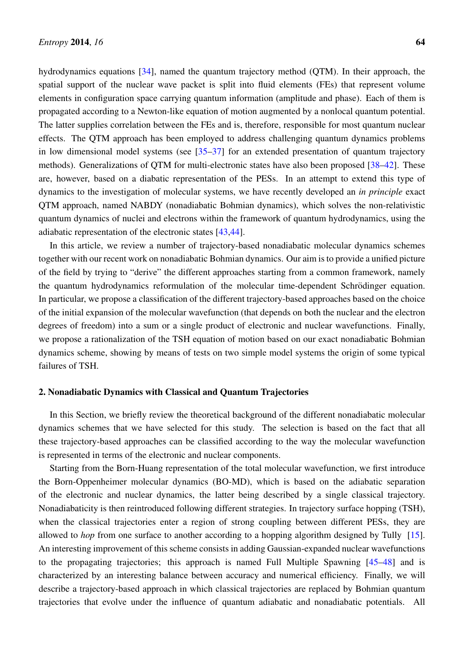hydrodynamics equations [\[34\]](#page-20-12), named the quantum trajectory method (QTM). In their approach, the spatial support of the nuclear wave packet is split into fluid elements (FEs) that represent volume elements in configuration space carrying quantum information (amplitude and phase). Each of them is propagated according to a Newton-like equation of motion augmented by a nonlocal quantum potential. The latter supplies correlation between the FEs and is, therefore, responsible for most quantum nuclear effects. The QTM approach has been employed to address challenging quantum dynamics problems in low dimensional model systems (see [\[35](#page-20-13)[–37\]](#page-20-14) for an extended presentation of quantum trajectory methods). Generalizations of QTM for multi-electronic states have also been proposed [\[38](#page-20-15)[–42\]](#page-21-0). These are, however, based on a diabatic representation of the PESs. In an attempt to extend this type of dynamics to the investigation of molecular systems, we have recently developed an *in principle* exact QTM approach, named NABDY (nonadiabatic Bohmian dynamics), which solves the non-relativistic quantum dynamics of nuclei and electrons within the framework of quantum hydrodynamics, using the adiabatic representation of the electronic states [\[43,](#page-21-1)[44\]](#page-21-2).

In this article, we review a number of trajectory-based nonadiabatic molecular dynamics schemes together with our recent work on nonadiabatic Bohmian dynamics. Our aim is to provide a unified picture of the field by trying to "derive" the different approaches starting from a common framework, namely the quantum hydrodynamics reformulation of the molecular time-dependent Schrödinger equation. In particular, we propose a classification of the different trajectory-based approaches based on the choice of the initial expansion of the molecular wavefunction (that depends on both the nuclear and the electron degrees of freedom) into a sum or a single product of electronic and nuclear wavefunctions. Finally, we propose a rationalization of the TSH equation of motion based on our exact nonadiabatic Bohmian dynamics scheme, showing by means of tests on two simple model systems the origin of some typical failures of TSH.

# <span id="page-2-0"></span>2. Nonadiabatic Dynamics with Classical and Quantum Trajectories

In this Section, we briefly review the theoretical background of the different nonadiabatic molecular dynamics schemes that we have selected for this study. The selection is based on the fact that all these trajectory-based approaches can be classified according to the way the molecular wavefunction is represented in terms of the electronic and nuclear components.

Starting from the Born-Huang representation of the total molecular wavefunction, we first introduce the Born-Oppenheimer molecular dynamics (BO-MD), which is based on the adiabatic separation of the electronic and nuclear dynamics, the latter being described by a single classical trajectory. Nonadiabaticity is then reintroduced following different strategies. In trajectory surface hopping (TSH), when the classical trajectories enter a region of strong coupling between different PESs, they are allowed to *hop* from one surface to another according to a hopping algorithm designed by Tully [\[15\]](#page-19-10). An interesting improvement of this scheme consists in adding Gaussian-expanded nuclear wavefunctions to the propagating trajectories; this approach is named Full Multiple Spawning [\[45](#page-21-3)[–48\]](#page-21-4) and is characterized by an interesting balance between accuracy and numerical efficiency. Finally, we will describe a trajectory-based approach in which classical trajectories are replaced by Bohmian quantum trajectories that evolve under the influence of quantum adiabatic and nonadiabatic potentials. All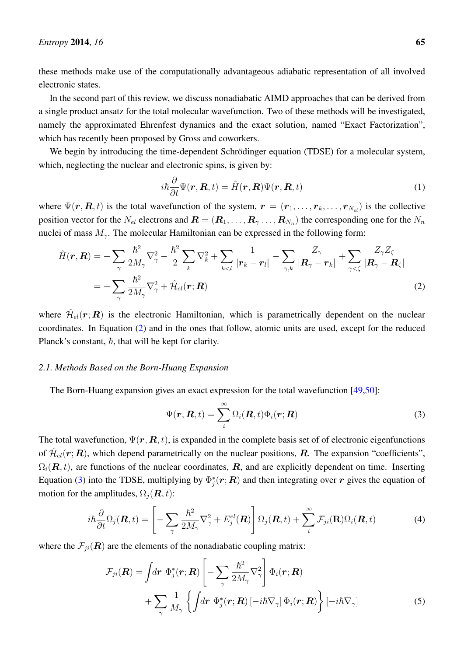these methods make use of the computationally advantageous adiabatic representation of all involved electronic states.

In the second part of this review, we discuss nonadiabatic AIMD approaches that can be derived from a single product ansatz for the total molecular wavefunction. Two of these methods will be investigated, namely the approximated Ehrenfest dynamics and the exact solution, named "Exact Factorization", which has recently been proposed by Gross and coworkers.

We begin by introducing the time-dependent Schrödinger equation (TDSE) for a molecular system, which, neglecting the nuclear and electronic spins, is given by:

<span id="page-3-0"></span>
$$
i\hbar \frac{\partial}{\partial t} \Psi(\mathbf{r}, \mathbf{R}, t) = \hat{H}(\mathbf{r}, \mathbf{R}) \Psi(\mathbf{r}, \mathbf{R}, t)
$$
\n(1)

where  $\Psi(\mathbf{r}, \mathbf{R}, t)$  is the total wavefunction of the system,  $\mathbf{r} = (\mathbf{r}_1, \dots, \mathbf{r}_{k}, \dots, \mathbf{r}_{N_{el}})$  is the collective position vector for the  $N_{el}$  electrons and  $\bm{R}=(\bm{R}_1,\ldots,\bm{R}_{\gamma}\ldots,\bm{R}_{N_n})$  the corresponding one for the  $N_n$ nuclei of mass  $M_{\gamma}$ . The molecular Hamiltonian can be expressed in the following form:

$$
\hat{H}(\boldsymbol{r}, \boldsymbol{R}) = -\sum_{\gamma} \frac{\hbar^2}{2M_{\gamma}} \nabla_{\gamma}^2 - \frac{\hbar^2}{2} \sum_{k} \nabla_{k}^2 + \sum_{k < l} \frac{1}{|\boldsymbol{r}_k - \boldsymbol{r}_l|} - \sum_{\gamma, k} \frac{Z_{\gamma}}{|\boldsymbol{R}_{\gamma} - \boldsymbol{r}_k|} + \sum_{\gamma < \zeta} \frac{Z_{\gamma} Z_{\zeta}}{|\boldsymbol{R}_{\gamma} - \boldsymbol{R}_{\zeta}|}
$$
\n
$$
= -\sum_{\gamma} \frac{\hbar^2}{2M_{\gamma}} \nabla_{\gamma}^2 + \hat{\mathcal{H}}_{el}(\boldsymbol{r}; \boldsymbol{R})
$$
\n(2)

where  $\hat{\mathcal{H}}_{el}(\bm{r};\bm{R})$  is the electronic Hamiltonian, which is parametrically dependent on the nuclear coordinates. In Equation [\(2\)](#page-3-0) and in the ones that follow, atomic units are used, except for the reduced Planck's constant,  $h$ , that will be kept for clarity.

## <span id="page-3-4"></span>*2.1. Methods Based on the Born-Huang Expansion*

The Born-Huang expansion gives an exact expression for the total wavefunction [\[49,](#page-21-5)[50\]](#page-21-6):

<span id="page-3-1"></span>
$$
\Psi(\mathbf{r}, \mathbf{R}, t) = \sum_{i}^{\infty} \Omega_i(\mathbf{R}, t) \Phi_i(\mathbf{r}; \mathbf{R})
$$
\n(3)

The total wavefunction,  $\Psi(\mathbf{r}, \mathbf{R}, t)$ , is expanded in the complete basis set of of electronic eigenfunctions of  $\hat{\mathcal{H}}_{el}(\bm{r};\bm{R})$ , which depend parametrically on the nuclear positions,  $\bm{R}$ . The expansion "coefficients",  $\Omega_i(\mathbf{R}, t)$ , are functions of the nuclear coordinates,  $\mathbf{R}$ , and are explicitly dependent on time. Inserting Equation [\(3\)](#page-3-1) into the TDSE, multiplying by  $\Phi_j^*(r; R)$  and then integrating over r gives the equation of motion for the amplitudes,  $\Omega_i(\mathbf{R}, t)$ :

<span id="page-3-2"></span>
$$
i\hbar \frac{\partial}{\partial t} \Omega_j(\mathbf{R}, t) = \left[ -\sum_{\gamma} \frac{\hbar^2}{2M_{\gamma}} \nabla_{\gamma}^2 + E_j^{el}(\mathbf{R}) \right] \Omega_j(\mathbf{R}, t) + \sum_{i}^{\infty} \mathcal{F}_{ji}(\mathbf{R}) \Omega_i(\mathbf{R}, t)
$$
(4)

where the  $\mathcal{F}_{ji}(\mathbf{R})$  are the elements of the nonadiabatic coupling matrix:

<span id="page-3-3"></span>
$$
\mathcal{F}_{ji}(\mathbf{R}) = \int d\mathbf{r} \ \Phi_j^*(\mathbf{r}; \mathbf{R}) \left[ -\sum_{\gamma} \frac{\hbar^2}{2M_{\gamma}} \nabla_{\gamma}^2 \right] \Phi_i(\mathbf{r}; \mathbf{R}) + \sum_{\gamma} \frac{1}{M_{\gamma}} \left\{ \int d\mathbf{r} \ \Phi_j^*(\mathbf{r}; \mathbf{R}) \left[ -i\hbar \nabla_{\gamma} \right] \Phi_i(\mathbf{r}; \mathbf{R}) \right\} \left[ -i\hbar \nabla_{\gamma} \right] \tag{5}
$$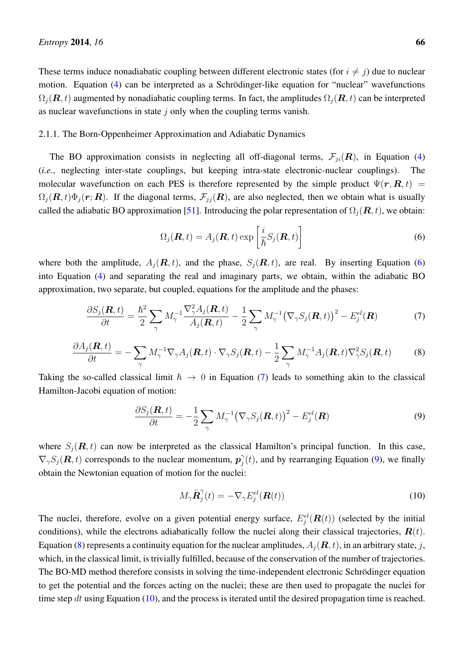These terms induce nonadiabatic coupling between different electronic states (for  $i \neq j$ ) due to nuclear motion. Equation  $(4)$  can be interpreted as a Schrödinger-like equation for "nuclear" wavefunctions  $\Omega_i(\mathbf{R}, t)$  augmented by nonadiabatic coupling terms. In fact, the amplitudes  $\Omega_i(\mathbf{R}, t)$  can be interpreted as nuclear wavefunctions in state  $j$  only when the coupling terms vanish.

# <span id="page-4-5"></span>2.1.1. The Born-Oppenheimer Approximation and Adiabatic Dynamics

The BO approximation consists in neglecting all off-diagonal terms,  $\mathcal{F}_{ii}(\mathbf{R})$ , in Equation [\(4\)](#page-3-2) (*i.e.*, neglecting inter-state couplings, but keeping intra-state electronic-nuclear couplings). The molecular wavefunction on each PES is therefore represented by the simple product  $\Psi(\mathbf{r}, \mathbf{R}, t)$  =  $\Omega_j(\mathbf{R}, t) \Phi_j(\mathbf{r}; \mathbf{R})$ . If the diagonal terms,  $\mathcal{F}_{jj}(\mathbf{R})$ , are also neglected, then we obtain what is usually called the adiabatic BO approximation [\[51\]](#page-21-7). Introducing the polar representation of  $\Omega_j(\mathbf{R}, t)$ , we obtain:

<span id="page-4-0"></span>
$$
\Omega_j(\boldsymbol{R},t) = A_j(\boldsymbol{R},t) \exp\left[\frac{i}{\hbar}S_j(\boldsymbol{R},t)\right]
$$
\n(6)

where both the amplitude,  $A_i(\mathbf{R}, t)$ , and the phase,  $S_i(\mathbf{R}, t)$ , are real. By inserting Equation [\(6\)](#page-4-0) into Equation [\(4\)](#page-3-2) and separating the real and imaginary parts, we obtain, within the adiabatic BO approximation, two separate, but coupled, equations for the amplitude and the phases:

<span id="page-4-1"></span>
$$
\frac{\partial S_j(\mathbf{R},t)}{\partial t} = \frac{\hbar^2}{2} \sum_{\gamma} M_{\gamma}^{-1} \frac{\nabla_{\gamma}^2 A_j(\mathbf{R},t)}{A_j(\mathbf{R},t)} - \frac{1}{2} \sum_{\gamma} M_{\gamma}^{-1} (\nabla_{\gamma} S_j(\mathbf{R},t))^2 - E_j^{el}(\mathbf{R}) \tag{7}
$$

<span id="page-4-3"></span>
$$
\frac{\partial A_j(\mathbf{R},t)}{\partial t} = -\sum_{\gamma} M_{\gamma}^{-1} \nabla_{\gamma} A_j(\mathbf{R},t) \cdot \nabla_{\gamma} S_j(\mathbf{R},t) - \frac{1}{2} \sum_{\gamma} M_{\gamma}^{-1} A_j(\mathbf{R},t) \nabla_{\gamma}^2 S_j(\mathbf{R},t) \tag{8}
$$

Taking the so-called classical limit  $\hbar \rightarrow 0$  in Equation [\(7\)](#page-4-1) leads to something akin to the classical Hamilton-Jacobi equation of motion:

<span id="page-4-2"></span>
$$
\frac{\partial S_j(\mathbf{R},t)}{\partial t} = -\frac{1}{2} \sum_{\gamma} M_{\gamma}^{-1} (\nabla_{\gamma} S_j(\mathbf{R},t))^2 - E_j^{el}(\mathbf{R})
$$
\n(9)

where  $S_i(\mathbf{R}, t)$  can now be interpreted as the classical Hamilton's principal function. In this case,  $\nabla_{\gamma}S_j(\mathbf{R},t)$  corresponds to the nuclear momentum,  $\mathbf{p}_j^{\gamma}$  $\hat{f}_j(t)$ , and by rearranging Equation [\(9\)](#page-4-2), we finally obtain the Newtonian equation of motion for the nuclei:

<span id="page-4-4"></span>
$$
M_{\gamma}\ddot{\boldsymbol{R}}_{j}^{\gamma}(t) = -\nabla_{\gamma}E_{j}^{el}(\boldsymbol{R}(t))
$$
\n(10)

The nuclei, therefore, evolve on a given potential energy surface,  $E_j^{el}(\mathbf{R}(t))$  (selected by the initial conditions), while the electrons adiabatically follow the nuclei along their classical trajectories,  $\mathbf{R}(t)$ . Equation [\(8\)](#page-4-3) represents a continuity equation for the nuclear amplitudes,  $A_i(\mathbf{R}, t)$ , in an arbitrary state, j, which, in the classical limit, is trivially fulfilled, because of the conservation of the number of trajectories. The BO-MD method therefore consists in solving the time-independent electronic Schrödinger equation to get the potential and the forces acting on the nuclei; these are then used to propagate the nuclei for time step dt using Equation  $(10)$ , and the process is iterated until the desired propagation time is reached.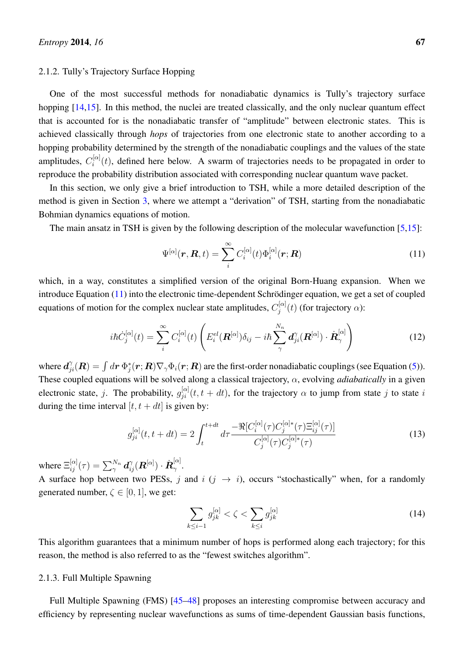# 2.1.2. Tully's Trajectory Surface Hopping

One of the most successful methods for nonadiabatic dynamics is Tully's trajectory surface hopping [\[14](#page-19-9)[,15\]](#page-19-10). In this method, the nuclei are treated classically, and the only nuclear quantum effect that is accounted for is the nonadiabatic transfer of "amplitude" between electronic states. This is achieved classically through *hops* of trajectories from one electronic state to another according to a hopping probability determined by the strength of the nonadiabatic couplings and the values of the state amplitudes,  $C_i^{[\alpha]}$  $\mathcal{L}^{[\alpha]}(t)$ , defined here below. A swarm of trajectories needs to be propagated in order to reproduce the probability distribution associated with corresponding nuclear quantum wave packet.

In this section, we only give a brief introduction to TSH, while a more detailed description of the method is given in Section [3,](#page-11-0) where we attempt a "derivation" of TSH, starting from the nonadiabatic Bohmian dynamics equations of motion.

The main ansatz in TSH is given by the following description of the molecular wavefunction [\[5,](#page-19-15)[15\]](#page-19-10):

<span id="page-5-0"></span>
$$
\Psi^{[\alpha]}(\boldsymbol{r}, \boldsymbol{R}, t) = \sum_{i}^{\infty} C_i^{[\alpha]}(t) \Phi_i^{[\alpha]}(\boldsymbol{r}; \boldsymbol{R})
$$
\n(11)

which, in a way, constitutes a simplified version of the original Born-Huang expansion. When we introduce Equation  $(11)$  into the electronic time-dependent Schrödinger equation, we get a set of coupled equations of motion for the complex nuclear state amplitudes,  $C_i^{[\alpha]}$  $j^{(|\alpha|)}(t)$  (for trajectory  $\alpha$ ):

<span id="page-5-1"></span>
$$
i\hbar \dot{C}_j^{[\alpha]}(t) = \sum_{i}^{\infty} C_i^{[\alpha]}(t) \left( E_i^{el}(\boldsymbol{R}^{[\alpha]}) \delta_{ij} - i\hbar \sum_{\gamma}^{N_n} \boldsymbol{d}_{ji}^{\gamma}(\boldsymbol{R}^{[\alpha]}) \cdot \dot{\boldsymbol{R}}_{\gamma}^{[\alpha]} \right)
$$
(12)

where  $d_{ji}^{\gamma}(\bm{R}) = \int d\bm{r} \, \Phi_j^*(\bm{r};\bm{R}) \nabla_{\gamma} \Phi_i(\bm{r};\bm{R})$  are the first-order nonadiabatic couplings (see Equation [\(5\)](#page-3-3)). These coupled equations will be solved along a classical trajectory,  $\alpha$ , evolving *adiabatically* in a given electronic state, j. The probability,  $g_{ji}^{[\alpha]}(t, t + dt)$ , for the trajectory  $\alpha$  to jump from state j to state i during the time interval  $[t, t + dt]$  is given by:

<span id="page-5-2"></span>
$$
g_{ji}^{[\alpha]}(t, t+dt) = 2 \int_{t}^{t+dt} d\tau \frac{-\Re[C_{i}^{[\alpha]}(\tau)C_{j}^{[\alpha]*}(\tau)\Xi_{ij}^{[\alpha]}(\tau)]}{C_{j}^{[\alpha]}(\tau)C_{j}^{[\alpha]*}(\tau)}
$$
(13)

where  $\Xi_{ij}^{[\alpha]}(\tau)=\sum_{\gamma}^{N_n}\bm{d}_{ij}^{\gamma}(\bm{R}^{[\alpha]})\cdot\dot{\bm{R}}_{\gamma}^{[\alpha]}$  $\frac{1}{\gamma}$ .

A surface hop between two PESs, j and  $i$  ( $j \rightarrow i$ ), occurs "stochastically" when, for a randomly generated number,  $\zeta \in [0, 1]$ , we get:

<span id="page-5-3"></span>
$$
\sum_{k \le i-1} g_{jk}^{[\alpha]} < \zeta < \sum_{k \le i} g_{jk}^{[\alpha]} \tag{14}
$$

This algorithm guarantees that a minimum number of hops is performed along each trajectory; for this reason, the method is also referred to as the "fewest switches algorithm".

## 2.1.3. Full Multiple Spawning

Full Multiple Spawning (FMS) [\[45–](#page-21-3)[48\]](#page-21-4) proposes an interesting compromise between accuracy and efficiency by representing nuclear wavefunctions as sums of time-dependent Gaussian basis functions,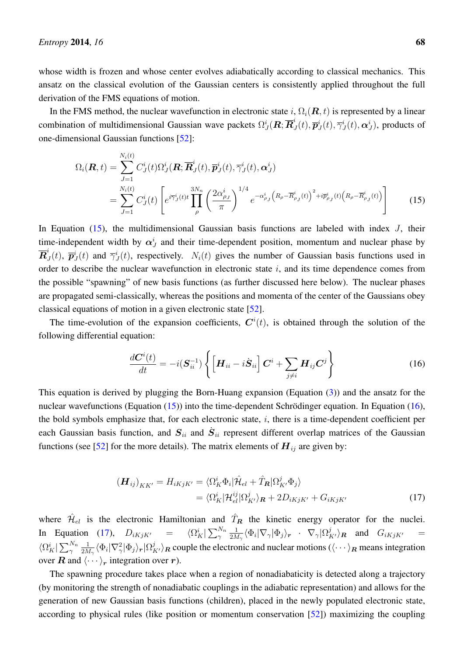whose width is frozen and whose center evolves adiabatically according to classical mechanics. This ansatz on the classical evolution of the Gaussian centers is consistently applied throughout the full derivation of the FMS equations of motion.

In the FMS method, the nuclear wavefunction in electronic state i,  $\Omega_i(\mathbf{R}, t)$  is represented by a linear combination of multidimensional Gaussian wave packets  $\Omega^i_J(\bm{R};\overline{\bm{R}}^i_{\cdot})$  $J_{J}^i(t), \overline{p}_J^i(t), \overline{\gamma}_J^i(t), \boldsymbol{\alpha}_J^i),$  products of one-dimensional Gaussian functions [\[52\]](#page-21-8):

$$
\Omega_i(\boldsymbol{R},t) = \sum_{J=1}^{N_i(t)} C_J^i(t) \Omega_J^i(\boldsymbol{R}; \overline{\boldsymbol{R}}_J^i(t), \overline{p}_J^i(t), \overline{\gamma}_J^i(t), \alpha_J^i)
$$
\n
$$
= \sum_{J=1}^{N_i(t)} C_J^i(t) \left[ e^{i \overline{\gamma}_J^i(t)t} \prod_{\rho}^{3N_n} \left( \frac{2\alpha_{\rho_J}^i}{\pi} \right)^{1/4} e^{-\alpha_{\rho_J}^i \left( R_\rho - \overline{R}_{\rho_J}^i(t) \right)^2 + i \overline{p}_{\rho_J}^i(t) \left( R_\rho - \overline{R}_{\rho_J}^i(t) \right)} \right]
$$
(15)

In Equation [\(15\)](#page-6-0), the multidimensional Gaussian basis functions are labeled with index  $J$ , their time-independent width by  $\alpha_j^i$  and their time-dependent position, momentum and nuclear phase by  $\overline{\bm{R}}^i_{\cdot}$  $J(t)$ ,  $\overline{p}_J^i(t)$  and  $\overline{\gamma}_J^i(t)$ , respectively.  $N_i(t)$  gives the number of Gaussian basis functions used in order to describe the nuclear wavefunction in electronic state  $i$ , and its time dependence comes from the possible "spawning" of new basis functions (as further discussed here below). The nuclear phases are propagated semi-classically, whereas the positions and momenta of the center of the Gaussians obey classical equations of motion in a given electronic state [\[52\]](#page-21-8).

The time-evolution of the expansion coefficients,  $C^{i}(t)$ , is obtained through the solution of the following differential equation:

<span id="page-6-1"></span><span id="page-6-0"></span>
$$
\frac{d\boldsymbol{C}^{i}(t)}{dt} = -i(\boldsymbol{S}_{ii}^{-1}) \left\{ \left[ \boldsymbol{H}_{ii} - i\dot{\boldsymbol{S}}_{ii} \right] \boldsymbol{C}^{i} + \sum_{j \neq i} \boldsymbol{H}_{ij} \boldsymbol{C}^{j} \right\}
$$
(16)

This equation is derived by plugging the Born-Huang expansion (Equation [\(3\)](#page-3-1)) and the ansatz for the nuclear wavefunctions (Equation  $(15)$ ) into the time-dependent Schrödinger equation. In Equation  $(16)$  $(16)$ , the bold symbols emphasize that, for each electronic state,  $i$ , there is a time-dependent coefficient per each Gaussian basis function, and  $S_{ii}$  and  $\dot{S}_{ii}$  represent different overlap matrices of the Gaussian functions (see [\[52\]](#page-21-8) for the more details). The matrix elements of  $H_{ij}$  are given by:

<span id="page-6-2"></span>
$$
\begin{aligned} \left(\boldsymbol{H}_{ij}\right)_{KK'} &= H_{iKjK'} = \langle \Omega_K^i \Phi_i | \hat{\mathcal{H}}_{el} + \hat{T}_{\boldsymbol{R}} | \Omega_{K'}^j \Phi_j \rangle \\ &= \langle \Omega_K^i | \mathcal{H}_{el}^{ij} | \Omega_{K'}^j \rangle_{\boldsymbol{R}} + 2D_{iKjK'} + G_{iKjK'} \end{aligned} \tag{17}
$$

where  $\hat{\mathcal{H}}_{el}$  is the electronic Hamiltonian and  $\hat{T}_R$  the kinetic energy operator for the nuclei. In Equation [\(17\)](#page-6-2),  $D_{iKjK'}$  =  $\langle \Omega_K^i | \sum_{\gamma}^{N_n}$ 1  $\frac{1}{2M_{\gamma}}\langle \Phi_i | \nabla_\gamma | \Phi_j \rangle_{\bm{r}}$  ·  $\nabla_\gamma | \Omega^j_{K'} \rangle_{\bm{R}}$  and  $G_{iKjK'}$  =  $\langle \Omega_K^i | \sum_\gamma^{N_n}$ 1  $\frac{1}{2M_\gamma}\langle\Phi_i|\nabla^2_\gamma|\Phi_j\rangle_{\bm r}|\Omega^j_{K'}\rangle_{\bm R}$  couple the electronic and nuclear motions  $(\langle\cdots\rangle_{\bm R}$  means integration over **R** and  $\langle \cdots \rangle_r$  integration over r).

The spawning procedure takes place when a region of nonadiabaticity is detected along a trajectory (by monitoring the strength of nonadiabatic couplings in the adiabatic representation) and allows for the generation of new Gaussian basis functions (children), placed in the newly populated electronic state, according to physical rules (like position or momentum conservation [\[52\]](#page-21-8)) maximizing the coupling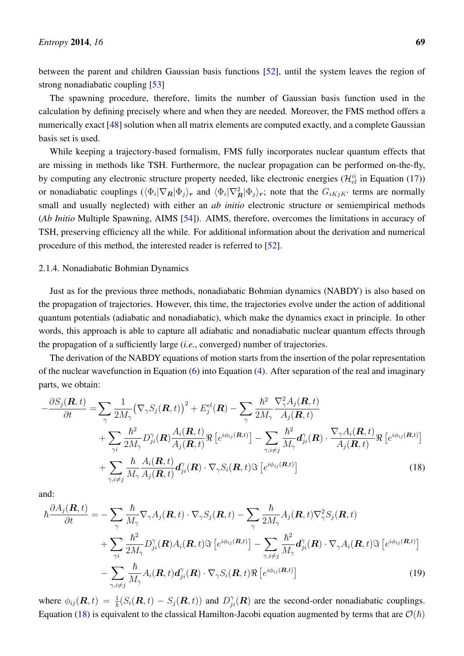between the parent and children Gaussian basis functions [\[52\]](#page-21-8), until the system leaves the region of strong nonadiabatic coupling [\[53\]](#page-21-9)

The spawning procedure, therefore, limits the number of Gaussian basis function used in the calculation by defining precisely where and when they are needed. Moreover, the FMS method offers a numerically exact [\[48\]](#page-21-4) solution when all matrix elements are computed exactly, and a complete Gaussian basis set is used.

While keeping a trajectory-based formalism, FMS fully incorporates nuclear quantum effects that are missing in methods like TSH. Furthermore, the nuclear propagation can be performed on-the-fly, by computing any electronic structure property needed, like electronic energies ( $\mathcal{H}_{el}^{ii}$  in Equation [\(17\)](#page-6-2)) or nonadiabatic couplings  $(\langle \Phi_i|\nabla_{\bf R}|\Phi_j\rangle_{\bf r}$  and  $\langle \Phi_i|\nabla_{\bf R}^2|\Phi_j\rangle_{\bf r}$ ; note that the  $G_{iKjK'}$  terms are normally small and usually neglected) with either an *ab initio* electronic structure or semiempirical methods (*Ab Initio* Multiple Spawning, AIMS [\[54\]](#page-21-10)). AIMS, therefore, overcomes the limitations in accuracy of TSH, preserving efficiency all the while. For additional information about the derivation and numerical procedure of this method, the interested reader is referred to [\[52\]](#page-21-8).

# 2.1.4. Nonadiabatic Bohmian Dynamics

Just as for the previous three methods, nonadiabatic Bohmian dynamics (NABDY) is also based on the propagation of trajectories. However, this time, the trajectories evolve under the action of additional quantum potentials (adiabatic and nonadiabatic), which make the dynamics exact in principle. In other words, this approach is able to capture all adiabatic and nonadiabatic nuclear quantum effects through the propagation of a sufficiently large (*i.e.*, converged) number of trajectories.

The derivation of the NABDY equations of motion starts from the insertion of the polar representation of the nuclear wavefunction in Equation [\(6\)](#page-4-0) into Equation [\(4\)](#page-3-2). After separation of the real and imaginary parts, we obtain:

$$
-\frac{\partial S_j(\mathbf{R},t)}{\partial t} = \sum_{\gamma} \frac{1}{2M_{\gamma}} (\nabla_{\gamma} S_j(\mathbf{R},t))^2 + E_j^{el}(\mathbf{R}) - \sum_{\gamma} \frac{\hbar^2}{2M_{\gamma}} \frac{\nabla_{\gamma}^2 A_j(\mathbf{R},t)}{A_j(\mathbf{R},t)} + \sum_{\gamma i} \frac{\hbar^2}{2M_{\gamma}} D_{ji}^{\gamma}(\mathbf{R}) \frac{A_i(\mathbf{R},t)}{A_j(\mathbf{R},t)} \Re \left[e^{i\phi_{ij}(\mathbf{R},t)}\right] - \sum_{\gamma,i \neq j} \frac{\hbar^2}{M_{\gamma}} d_{ji}^{\gamma}(\mathbf{R}) \cdot \frac{\nabla_{\gamma} A_i(\mathbf{R},t)}{A_j(\mathbf{R},t)} \Re \left[e^{i\phi_{ij}(\mathbf{R},t)}\right] + \sum_{\gamma,i \neq j} \frac{\hbar}{M_{\gamma}} \frac{A_i(\mathbf{R},t)}{A_j(\mathbf{R},t)} d_{ji}^{\gamma}(\mathbf{R}) \cdot \nabla_{\gamma} S_i(\mathbf{R},t) \Im \left[e^{i\phi_{ij}(\mathbf{R},t)}\right]
$$
(18)

and:

<span id="page-7-1"></span><span id="page-7-0"></span>
$$
\hbar \frac{\partial A_j(\mathbf{R},t)}{\partial t} = -\sum_{\gamma} \frac{\hbar}{M_{\gamma}} \nabla_{\gamma} A_j(\mathbf{R},t) \cdot \nabla_{\gamma} S_j(\mathbf{R},t) - \sum_{\gamma} \frac{\hbar}{2M_{\gamma}} A_j(\mathbf{R},t) \nabla_{\gamma}^2 S_j(\mathbf{R},t) \n+ \sum_{\gamma i} \frac{\hbar^2}{2M_{\gamma}} D_{ji}^{\gamma}(\mathbf{R}) A_i(\mathbf{R},t) \mathfrak{F} \left[ e^{i\phi_{ij}(\mathbf{R},t)} \right] - \sum_{\gamma,i \neq j} \frac{\hbar^2}{M_{\gamma}} d_{ji}^{\gamma}(\mathbf{R}) \cdot \nabla_{\gamma} A_i(\mathbf{R},t) \mathfrak{F} \left[ e^{i\phi_{ij}(\mathbf{R},t)} \right] \n- \sum_{\gamma,i \neq j} \frac{\hbar}{M_{\gamma}} A_i(\mathbf{R},t) d_{ji}^{\gamma}(\mathbf{R}) \cdot \nabla_{\gamma} S_i(\mathbf{R},t) \mathfrak{R} \left[ e^{i\phi_{ij}(\mathbf{R},t)} \right]
$$
\n(19)

where  $\phi_{ij}(\mathbf{R},t) = \frac{1}{\hbar} (S_i(\mathbf{R},t) - S_j(\mathbf{R},t))$  and  $D_{ji}^{\gamma}(\mathbf{R})$  are the second-order nonadiabatic couplings. Equation [\(18\)](#page-7-0) is equivalent to the classical Hamilton-Jacobi equation augmented by terms that are  $\mathcal{O}(\hbar)$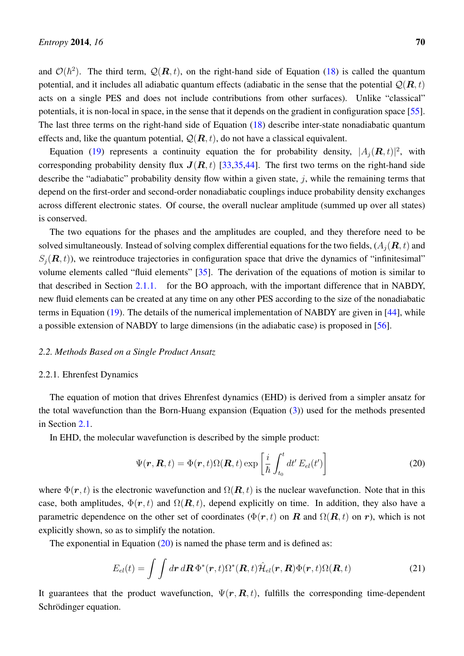and  $\mathcal{O}(\hbar^2)$ . The third term,  $\mathcal{Q}(\mathbf{R}, t)$ , on the right-hand side of Equation [\(18\)](#page-7-0) is called the quantum potential, and it includes all adiabatic quantum effects (adiabatic in the sense that the potential  $\mathcal{Q}(\mathbf{R}, t)$ ) acts on a single PES and does not include contributions from other surfaces). Unlike "classical" potentials, it is non-local in space, in the sense that it depends on the gradient in configuration space [\[55\]](#page-21-11). The last three terms on the right-hand side of Equation [\(18\)](#page-7-0) describe inter-state nonadiabatic quantum effects and, like the quantum potential,  $Q(R, t)$ , do not have a classical equivalent.

Equation [\(19\)](#page-7-1) represents a continuity equation the for probability density,  $|A_j(\mathbf{R}, t)|^2$ , with corresponding probability density flux  $J(R, t)$  [\[33](#page-20-11)[,35](#page-20-13)[,44\]](#page-21-2). The first two terms on the right-hand side describe the "adiabatic" probability density flow within a given state,  $j$ , while the remaining terms that depend on the first-order and second-order nonadiabatic couplings induce probability density exchanges across different electronic states. Of course, the overall nuclear amplitude (summed up over all states) is conserved.

The two equations for the phases and the amplitudes are coupled, and they therefore need to be solved simultaneously. Instead of solving complex differential equations for the two fields,  $(A_i(\mathbf{R}, t))$  and  $S_i(\mathbf{R}, t)$ , we reintroduce trajectories in configuration space that drive the dynamics of "infinitesimal" volume elements called "fluid elements" [\[35\]](#page-20-13). The derivation of the equations of motion is similar to that described in Section [2.1.1.](#page-4-5) for the BO approach, with the important difference that in NABDY, new fluid elements can be created at any time on any other PES according to the size of the nonadiabatic terms in Equation [\(19\)](#page-7-1). The details of the numerical implementation of NABDY are given in [\[44\]](#page-21-2), while a possible extension of NABDY to large dimensions (in the adiabatic case) is proposed in [\[56\]](#page-21-12).

#### *2.2. Methods Based on a Single Product Ansatz*

## 2.2.1. Ehrenfest Dynamics

The equation of motion that drives Ehrenfest dynamics (EHD) is derived from a simpler ansatz for the total wavefunction than the Born-Huang expansion (Equation  $(3)$ ) used for the methods presented in Section [2.1.](#page-3-4)

In EHD, the molecular wavefunction is described by the simple product:

<span id="page-8-0"></span>
$$
\Psi(\mathbf{r}, \mathbf{R}, t) = \Phi(\mathbf{r}, t) \Omega(\mathbf{R}, t) \exp\left[\frac{i}{\hbar} \int_{t_0}^t dt' E_{el}(t')\right]
$$
(20)

where  $\Phi(\mathbf{r}, t)$  is the electronic wavefunction and  $\Omega(\mathbf{R}, t)$  is the nuclear wavefunction. Note that in this case, both amplitudes,  $\Phi(\mathbf{r}, t)$  and  $\Omega(\mathbf{R}, t)$ , depend explicitly on time. In addition, they also have a parametric dependence on the other set of coordinates ( $\Phi(\mathbf{r},t)$  on R and  $\Omega(\mathbf{R},t)$  on r), which is not explicitly shown, so as to simplify the notation.

The exponential in Equation  $(20)$  is named the phase term and is defined as:

$$
E_{el}(t) = \int \int d\mathbf{r} \, d\mathbf{R} \, \Phi^*(\mathbf{r}, t) \Omega^*(\mathbf{R}, t) \hat{\mathcal{H}}_{el}(\mathbf{r}, \mathbf{R}) \Phi(\mathbf{r}, t) \Omega(\mathbf{R}, t)
$$
(21)

It guarantees that the product wavefunction,  $\Psi(\mathbf{r}, \mathbf{R}, t)$ , fulfills the corresponding time-dependent Schrödinger equation.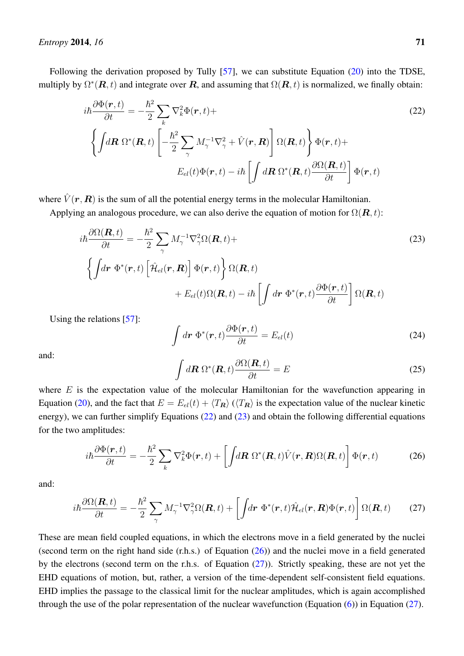Following the derivation proposed by Tully [\[57\]](#page-21-13), we can substitute Equation [\(20\)](#page-8-0) into the TDSE, multiply by  $\Omega^*(\bm{R},t)$  and integrate over  $\bm{R}$ , and assuming that  $\Omega(\bm{R},t)$  is normalized, we finally obtain:

$$
i\hbar \frac{\partial \Phi(\mathbf{r},t)}{\partial t} = -\frac{\hbar^2}{2} \sum_{k} \nabla_k^2 \Phi(\mathbf{r},t) +
$$
\n
$$
\left\{ \int d\mathbf{R} \ \Omega^*(\mathbf{R},t) \left[ -\frac{\hbar^2}{2} \sum_{\gamma} M_{\gamma}^{-1} \nabla_{\gamma}^2 + \hat{V}(\mathbf{r},\mathbf{R}) \right] \Omega(\mathbf{R},t) \right\} \Phi(\mathbf{r},t) +
$$
\n
$$
E_{el}(t) \Phi(\mathbf{r},t) - i\hbar \left[ \int d\mathbf{R} \ \Omega^*(\mathbf{R},t) \frac{\partial \Omega(\mathbf{R},t)}{\partial t} \right] \Phi(\mathbf{r},t)
$$
\n(22)

where  $\hat{V}(r, R)$  is the sum of all the potential energy terms in the molecular Hamiltonian.

Applying an analogous procedure, we can also derive the equation of motion for  $\Omega(\mathbf{R}, t)$ :

$$
i\hbar \frac{\partial \Omega(\mathbf{R},t)}{\partial t} = -\frac{\hbar^2}{2} \sum_{\gamma} M_{\gamma}^{-1} \nabla_{\gamma}^2 \Omega(\mathbf{R},t) +
$$
  

$$
\left\{ \int d\mathbf{r} \ \Phi^*(\mathbf{r},t) \left[ \hat{\mathcal{H}}_{el}(\mathbf{r},\mathbf{R}) \right] \Phi(\mathbf{r},t) \right\} \Omega(\mathbf{R},t) + E_{el}(t) \Omega(\mathbf{R},t) - i\hbar \left[ \int d\mathbf{r} \ \Phi^*(\mathbf{r},t) \frac{\partial \Phi(\mathbf{r},t)}{\partial t} \right] \Omega(\mathbf{R},t)
$$
 (23)

Using the relations [\[57\]](#page-21-13):

<span id="page-9-1"></span><span id="page-9-0"></span>
$$
\int d\boldsymbol{r} \ \Phi^*(\boldsymbol{r},t) \frac{\partial \Phi(\boldsymbol{r},t)}{\partial t} = E_{el}(t) \tag{24}
$$

and:

$$
\int d\mathbf{R} \ \Omega^*(\mathbf{R}, t) \frac{\partial \Omega(\mathbf{R}, t)}{\partial t} = E \tag{25}
$$

where  $E$  is the expectation value of the molecular Hamiltonian for the wavefunction appearing in Equation [\(20\)](#page-8-0), and the fact that  $E = E_{el}(t) + \langle T_R \rangle$  ( $\langle T_R \rangle$  is the expectation value of the nuclear kinetic energy), we can further simplify Equations [\(22\)](#page-9-0) and [\(23\)](#page-9-1) and obtain the following differential equations for the two amplitudes:

<span id="page-9-2"></span>
$$
i\hbar \frac{\partial \Phi(\mathbf{r},t)}{\partial t} = -\frac{\hbar^2}{2} \sum_{k} \nabla_k^2 \Phi(\mathbf{r},t) + \left[ \int d\mathbf{R} \ \Omega^*(\mathbf{R},t) \hat{V}(\mathbf{r},\mathbf{R}) \Omega(\mathbf{R},t) \right] \Phi(\mathbf{r},t) \tag{26}
$$

and:

<span id="page-9-3"></span>
$$
i\hbar \frac{\partial \Omega(\mathbf{R},t)}{\partial t} = -\frac{\hbar^2}{2} \sum_{\gamma} M_{\gamma}^{-1} \nabla_{\gamma}^2 \Omega(\mathbf{R},t) + \left[ \int \! dr \, \Phi^*(\mathbf{r},t) \hat{\mathcal{H}}_{el}(\mathbf{r},\mathbf{R}) \Phi(\mathbf{r},t) \right] \Omega(\mathbf{R},t) \tag{27}
$$

These are mean field coupled equations, in which the electrons move in a field generated by the nuclei (second term on the right hand side  $(r.h.s.)$  of Equation  $(26)$ ) and the nuclei move in a field generated by the electrons (second term on the r.h.s. of Equation  $(27)$ ). Strictly speaking, these are not yet the EHD equations of motion, but, rather, a version of the time-dependent self-consistent field equations. EHD implies the passage to the classical limit for the nuclear amplitudes, which is again accomplished through the use of the polar representation of the nuclear wavefunction (Equation  $(6)$ ) in Equation [\(27\)](#page-9-3).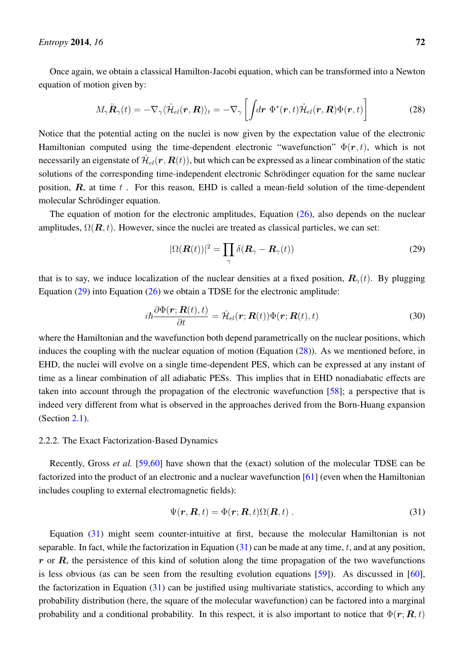Once again, we obtain a classical Hamilton-Jacobi equation, which can be transformed into a Newton equation of motion given by:

<span id="page-10-1"></span>
$$
M_{\gamma}\ddot{\boldsymbol{R}}_{\gamma}(t) = -\nabla_{\gamma}\langle \hat{\mathcal{H}}_{el}(\boldsymbol{r},\boldsymbol{R})\rangle_{t} = -\nabla_{\gamma}\left[\int d\boldsymbol{r}\ \Phi^{*}(\boldsymbol{r},t)\hat{\mathcal{H}}_{el}(\boldsymbol{r},\boldsymbol{R})\Phi(\boldsymbol{r},t)\right]
$$
(28)

Notice that the potential acting on the nuclei is now given by the expectation value of the electronic Hamiltonian computed using the time-dependent electronic "wavefunction"  $\Phi(\mathbf{r}, t)$ , which is not necessarily an eigenstate of  $\hat{\mathcal{H}}_{el}(\bm{r},\bm{R}(t))$ , but which can be expressed as a linear combination of the static solutions of the corresponding time-independent electronic Schrödinger equation for the same nuclear position,  $R$ , at time  $t$ . For this reason, EHD is called a mean-field solution of the time-dependent molecular Schrödinger equation.

The equation of motion for the electronic amplitudes, Equation  $(26)$ , also depends on the nuclear amplitudes,  $\Omega(R, t)$ . However, since the nuclei are treated as classical particles, we can set:

<span id="page-10-0"></span>
$$
|\Omega(\boldsymbol{R}(t))|^2 = \prod_{\gamma} \delta(\boldsymbol{R}_{\gamma} - \boldsymbol{R}_{\gamma}(t))
$$
\n(29)

that is to say, we induce localization of the nuclear densities at a fixed position,  $\mathbf{R}_{\gamma}(t)$ . By plugging Equation [\(29\)](#page-10-0) into Equation [\(26\)](#page-9-2) we obtain a TDSE for the electronic amplitude:

$$
i\hbar \frac{\partial \Phi(\mathbf{r}; \mathbf{R}(t), t)}{\partial t} = \hat{\mathcal{H}}_{el}(\mathbf{r}; \mathbf{R}(t)) \Phi(\mathbf{r}; \mathbf{R}(t), t)
$$
(30)

where the Hamiltonian and the wavefunction both depend parametrically on the nuclear positions, which induces the coupling with the nuclear equation of motion (Equation  $(28)$ ). As we mentioned before, in EHD, the nuclei will evolve on a single time-dependent PES, which can be expressed at any instant of time as a linear combination of all adiabatic PESs. This implies that in EHD nonadiabatic effects are taken into account through the propagation of the electronic wavefunction [\[58\]](#page-21-14); a perspective that is indeed very different from what is observed in the approaches derived from the Born-Huang expansion (Section [2.1\)](#page-3-4).

## 2.2.2. The Exact Factorization-Based Dynamics

Recently, Gross *et al.* [\[59,](#page-22-0)[60\]](#page-22-1) have shown that the (exact) solution of the molecular TDSE can be factorized into the product of an electronic and a nuclear wavefunction [\[61\]](#page-22-2) (even when the Hamiltonian includes coupling to external electromagnetic fields):

<span id="page-10-2"></span>
$$
\Psi(\mathbf{r}, \mathbf{R}, t) = \Phi(\mathbf{r}; \mathbf{R}, t) \Omega(\mathbf{R}, t) . \tag{31}
$$

Equation [\(31\)](#page-10-2) might seem counter-intuitive at first, because the molecular Hamiltonian is not separable. In fact, while the factorization in Equation  $(31)$  can be made at any time, t, and at any position,  $r$  or  $R$ , the persistence of this kind of solution along the time propagation of the two wavefunctions is less obvious (as can be seen from the resulting evolution equations  $[59]$ ). As discussed in  $[60]$ , the factorization in Equation [\(31\)](#page-10-2) can be justified using multivariate statistics, according to which any probability distribution (here, the square of the molecular wavefunction) can be factored into a marginal probability and a conditional probability. In this respect, it is also important to notice that  $\Phi(\mathbf{r}; \mathbf{R}, t)$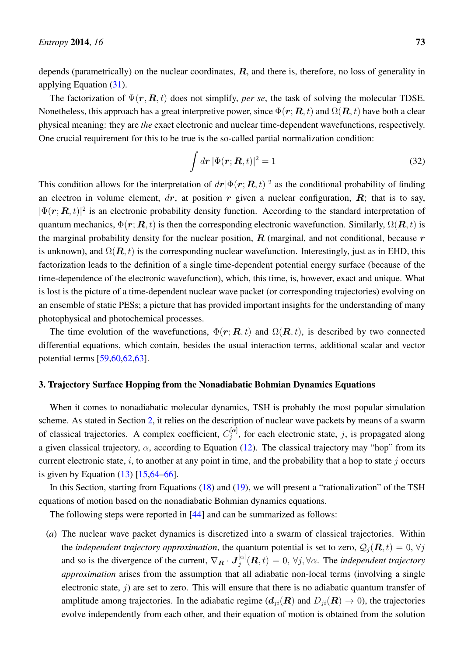depends (parametrically) on the nuclear coordinates,  $\bm{R}$ , and there is, therefore, no loss of generality in applying Equation [\(31\)](#page-10-2).

The factorization of  $\Psi(\mathbf{r}, \mathbf{R}, t)$  does not simplify, *per se*, the task of solving the molecular TDSE. Nonetheless, this approach has a great interpretive power, since  $\Phi(\mathbf{r}; \mathbf{R}, t)$  and  $\Omega(\mathbf{R}, t)$  have both a clear physical meaning: they are *the* exact electronic and nuclear time-dependent wavefunctions, respectively. One crucial requirement for this to be true is the so-called partial normalization condition:

$$
\int d\boldsymbol{r} \, |\Phi(\boldsymbol{r}; \boldsymbol{R}, t)|^2 = 1 \tag{32}
$$

This condition allows for the interpretation of  $dr |\Phi(r; R, t)|^2$  as the conditional probability of finding an electron in volume element,  $dr$ , at position r given a nuclear configuration,  $\mathbf{R}$ ; that is to say,  $|\Phi(r; R, t)|^2$  is an electronic probability density function. According to the standard interpretation of quantum mechanics,  $\Phi(\mathbf{r}; \mathbf{R}, t)$  is then the corresponding electronic wavefunction. Similarly,  $\Omega(\mathbf{R}, t)$  is the marginal probability density for the nuclear position,  $\bf{R}$  (marginal, and not conditional, because  $\bf{r}$ is unknown), and  $\Omega(R, t)$  is the corresponding nuclear wavefunction. Interestingly, just as in EHD, this factorization leads to the definition of a single time-dependent potential energy surface (because of the time-dependence of the electronic wavefunction), which, this time, is, however, exact and unique. What is lost is the picture of a time-dependent nuclear wave packet (or corresponding trajectories) evolving on an ensemble of static PESs; a picture that has provided important insights for the understanding of many photophysical and photochemical processes.

The time evolution of the wavefunctions,  $\Phi(\mathbf{r}; \mathbf{R}, t)$  and  $\Omega(\mathbf{R}, t)$ , is described by two connected differential equations, which contain, besides the usual interaction terms, additional scalar and vector potential terms [\[59,](#page-22-0)[60,](#page-22-1)[62,](#page-22-3)[63\]](#page-22-4).

### <span id="page-11-0"></span>3. Trajectory Surface Hopping from the Nonadiabatic Bohmian Dynamics Equations

When it comes to nonadiabatic molecular dynamics, TSH is probably the most popular simulation scheme. As stated in Section [2,](#page-2-0) it relies on the description of nuclear wave packets by means of a swarm of classical trajectories. A complex coefficient,  $C_i^{[\alpha]}$  $j^{[\alpha]}$ , for each electronic state, j, is propagated along a given classical trajectory,  $\alpha$ , according to Equation [\(12\)](#page-5-1). The classical trajectory may "hop" from its current electronic state, i, to another at any point in time, and the probability that a hop to state j occurs is given by Equation  $(13)$  [\[15,](#page-19-10)[64–](#page-22-5)[66\]](#page-22-6).

In this Section, starting from Equations [\(18\)](#page-7-0) and [\(19\)](#page-7-1), we will present a "rationalization" of the TSH equations of motion based on the nonadiabatic Bohmian dynamics equations.

The following steps were reported in [\[44\]](#page-21-2) and can be summarized as follows:

(*a*) The nuclear wave packet dynamics is discretized into a swarm of classical trajectories. Within the *independent trajectory approximation*, the quantum potential is set to zero,  $Q_i(\mathbf{R}, t) = 0, \forall j$ and so is the divergence of the current,  $\nabla_R \cdot \mathbf{J}_j^{[\alpha]}$  $j_j^{[\alpha]}(\boldsymbol{R},t)=0, \,\forall j, \forall \alpha.$  The *independent trajectory approximation* arises from the assumption that all adiabatic non-local terms (involving a single electronic state,  $j$ ) are set to zero. This will ensure that there is no adiabatic quantum transfer of amplitude among trajectories. In the adiabatic regime  $(d_{ii}(R)$  and  $D_{ii}(R) \rightarrow 0$ , the trajectories evolve independently from each other, and their equation of motion is obtained from the solution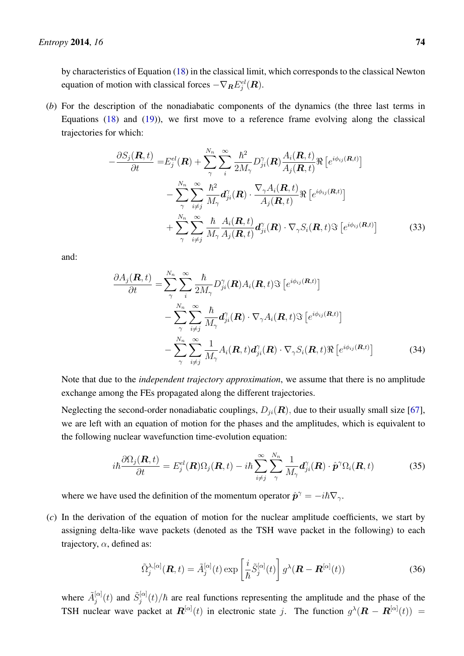by characteristics of Equation [\(18\)](#page-7-0) in the classical limit, which corresponds to the classical Newton equation of motion with classical forces  $-\nabla_{\bm{R}} E^{el}_j(\bm{R})$ .

(*b*) For the description of the nonadiabatic components of the dynamics (the three last terms in Equations  $(18)$  and  $(19)$ ), we first move to a reference frame evolving along the classical trajectories for which:

$$
-\frac{\partial S_j(\mathbf{R},t)}{\partial t} = E_j^{el}(\mathbf{R}) + \sum_{\gamma}^{N_n} \sum_{i}^{\infty} \frac{\hbar^2}{2M_{\gamma}} D_{ji}^{\gamma}(\mathbf{R}) \frac{A_i(\mathbf{R},t)}{A_j(\mathbf{R},t)} \Re \left[ e^{i\phi_{ij}(\mathbf{R},t)} \right] - \sum_{\gamma}^{N_n} \sum_{i \neq j}^{\infty} \frac{\hbar^2}{M_{\gamma}} d_{ji}^{\gamma}(\mathbf{R}) \cdot \frac{\nabla_{\gamma} A_i(\mathbf{R},t)}{A_j(\mathbf{R},t)} \Re \left[ e^{i\phi_{ij}(\mathbf{R},t)} \right] + \sum_{\gamma}^{N_n} \sum_{i \neq j}^{\infty} \frac{\hbar}{M_{\gamma}} \frac{A_i(\mathbf{R},t)}{A_j(\mathbf{R},t)} d_{ji}^{\gamma}(\mathbf{R}) \cdot \nabla_{\gamma} S_i(\mathbf{R},t) \Im \left[ e^{i\phi_{ij}(\mathbf{R},t)} \right]
$$
(33)

and:

$$
\frac{\partial A_j(\mathbf{R},t)}{\partial t} = \sum_{\gamma}^{N_n} \sum_{i}^{\infty} \frac{\hbar}{2M_{\gamma}} D_{ji}^{\gamma}(\mathbf{R}) A_i(\mathbf{R},t) \mathfrak{F} \left[ e^{i\phi_{ij}(\mathbf{R},t)} \right] \n- \sum_{\gamma}^{N_n} \sum_{i \neq j}^{\infty} \frac{\hbar}{M_{\gamma}} d_{ji}^{\gamma}(\mathbf{R}) \cdot \nabla_{\gamma} A_i(\mathbf{R},t) \mathfrak{F} \left[ e^{i\phi_{ij}(\mathbf{R},t)} \right] \n- \sum_{\gamma}^{N_n} \sum_{i \neq j}^{\infty} \frac{1}{M_{\gamma}} A_i(\mathbf{R},t) d_{ji}^{\gamma}(\mathbf{R}) \cdot \nabla_{\gamma} S_i(\mathbf{R},t) \mathfrak{R} \left[ e^{i\phi_{ij}(\mathbf{R},t)} \right]
$$
\n(34)

Note that due to the *independent trajectory approximation*, we assume that there is no amplitude exchange among the FEs propagated along the different trajectories.

Neglecting the second-order nonadiabatic couplings,  $D_{ji}(\mathbf{R})$ , due to their usually small size [\[67\]](#page-22-7), we are left with an equation of motion for the phases and the amplitudes, which is equivalent to the following nuclear wavefunction time-evolution equation:

<span id="page-12-0"></span>
$$
i\hbar \frac{\partial \Omega_j(\mathbf{R},t)}{\partial t} = E_j^{el}(\mathbf{R})\Omega_j(\mathbf{R},t) - i\hbar \sum_{i \neq j}^{\infty} \sum_{\gamma}^{N_n} \frac{1}{M_{\gamma}} d_{ji}^{\gamma}(\mathbf{R}) \cdot \hat{\mathbf{p}}^{\gamma} \Omega_i(\mathbf{R},t)
$$
(35)

where we have used the definition of the momentum operator  $\hat{p}^{\gamma} = -i\hbar \nabla_{\gamma}$ .

(*c*) In the derivation of the equation of motion for the nuclear amplitude coefficients, we start by assigning delta-like wave packets (denoted as the TSH wave packet in the following) to each trajectory,  $\alpha$ , defined as:

<span id="page-12-1"></span>
$$
\tilde{\Omega}_{j}^{\lambda,[\alpha]}(\boldsymbol{R},t) = \tilde{A}_{j}^{[\alpha]}(t) \exp\left[\frac{i}{\hbar} \tilde{S}_{j}^{[\alpha]}(t)\right] g^{\lambda}(\boldsymbol{R} - \boldsymbol{R}^{[\alpha]}(t))
$$
\n(36)

where  $\tilde{A}_i^{[\alpha]}$  $j^{[\alpha]}(t)$  and  $\tilde{S}_j^{[\alpha]}$  $j_{j}^{[\alpha]}(t)/\hbar$  are real functions representing the amplitude and the phase of the TSH nuclear wave packet at  $\mathbf{R}^{[\alpha]}(t)$  in electronic state j. The function  $g^{\lambda}(\mathbf{R}-\mathbf{R}^{[\alpha]}(t))$  =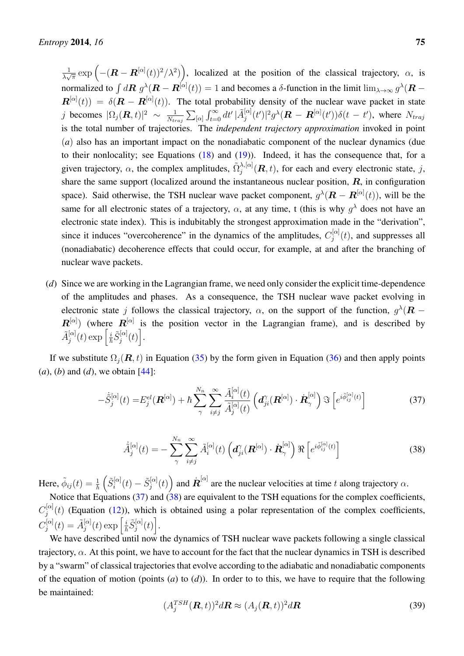1  $\frac{1}{\lambda\sqrt{\pi}}\exp\left(-(\bm{R}-\bm{R}^{[\alpha]}(t))^2/\lambda^2)\right)$ , localized at the position of the classical trajectory,  $\alpha$ , is normalized to  $\int d\mathbf{R} \ g^{\lambda}(\mathbf{R} - \mathbf{R}^{[\alpha]}(t)) = 1$  and becomes a  $\delta$ -function in the limit  $\lim_{\lambda \to \infty} g^{\lambda}(\mathbf{R} \mathbf{R}^{[\alpha]}(t) = \delta(\mathbf{R} - \mathbf{R}^{[\alpha]}(t))$ . The total probability density of the nuclear wave packet in state j becomes  $|\Omega_j(\mathbf{R}, t)|^2 \sim \frac{1}{N_{\text{tot}}}$  $\frac{1}{N_{traj}}\sum_{[\alpha]} \int_{t=0}^{\infty} dt' \, |\tilde{A}^{[\alpha]}_j$  $\int_j^{[\alpha]} (t')|^2 g^\lambda (\bm{R} - \bm{R}^{[\alpha]}(t')) \delta(t-t'),$  where  $N_{traj}$ is the total number of trajectories. The *independent trajectory approximation* invoked in point (*a*) also has an important impact on the nonadiabatic component of the nuclear dynamics (due to their nonlocality; see Equations  $(18)$  and  $(19)$ ). Indeed, it has the consequence that, for a given trajectory,  $\alpha$ , the complex amplitudes,  $\tilde{\Omega}_i^{\lambda,[\alpha]}$  $j_j^{\lambda,[\alpha]}(R,t)$ , for each and every electronic state, j, share the same support (localized around the instantaneous nuclear position,  $R$ , in configuration space). Said otherwise, the TSH nuclear wave packet component,  $g^{\lambda}(\mathbf{R}-\mathbf{R}^{[\alpha]}(t))$ , will be the same for all electronic states of a trajectory,  $\alpha$ , at any time, t (this is why  $g^{\lambda}$  does not have an electronic state index). This is indubitably the strongest approximation made in the "derivation", since it induces "overcoherence" in the dynamics of the amplitudes,  $C_i^{[\alpha]}$  $j^{(|\alpha|)}(t)$ , and suppresses all (nonadiabatic) decoherence effects that could occur, for example, at and after the branching of nuclear wave packets.

(*d*) Since we are working in the Lagrangian frame, we need only consider the explicit time-dependence of the amplitudes and phases. As a consequence, the TSH nuclear wave packet evolving in electronic state j follows the classical trajectory,  $\alpha$ , on the support of the function,  $g^{\lambda}$ ( $\mathbf{R}$  –  $R^{[\alpha]}$ ) (where  $R^{[\alpha]}$  is the position vector in the Lagrangian frame), and is described by  $\tilde{A}_i^{[\alpha]}$  $\int\limits_j^{[\alpha]} (t) \exp \left[ \frac{i}{\hbar} \tilde{S}_j^{[\alpha]} \right]$  $_{j}^{[\alpha]}(t)\Big].$ 

If we substitute  $\Omega_j(\mathbf{R}, t)$  in Equation [\(35\)](#page-12-0) by the form given in Equation [\(36\)](#page-12-1) and then apply points (*a*), (*b*) and (*d*), we obtain [\[44\]](#page-21-2):

$$
-\dot{\tilde{S}}_{j}^{[\alpha]}(t) = E_{j}^{el}(\boldsymbol{R}^{[\alpha]}) + \hbar \sum_{\gamma}^{N_{n}} \sum_{i \neq j}^{\infty} \frac{\tilde{A}_{i}^{[\alpha]}(t)}{\tilde{A}_{j}^{[\alpha]}(t)} \left( \boldsymbol{d}_{ji}^{\gamma}(\boldsymbol{R}^{[\alpha]}) \cdot \dot{\boldsymbol{R}}_{\gamma}^{[\alpha]} \right) \Im \left[ e^{i \tilde{\phi}_{ij}^{[\alpha]}(t)} \right]
$$
(37)

<span id="page-13-1"></span><span id="page-13-0"></span>
$$
\dot{\tilde{A}}_{j}^{[\alpha]}(t) = -\sum_{\gamma}^{N_n} \sum_{i \neq j}^{\infty} \tilde{A}_{i}^{[\alpha]}(t) \left( \boldsymbol{d}_{ji}^{\gamma}(\boldsymbol{R}^{[\alpha]}) \cdot \dot{\boldsymbol{R}}_{\gamma}^{[\alpha]} \right) \Re \left[ e^{i \tilde{\phi}_{ij}^{[\alpha]}(t)} \right]
$$
(38)

Here,  $\tilde{\phi}_{ij}(t) = \frac{1}{\hbar} \left( \tilde{S}_i^{[\alpha]} \right)$  $\tilde{S}_i^{[\alpha]}(t)-\tilde{S}_j^{[\alpha]}$  $\hat{\bm{h}}^{[\alpha]}_j(t)\Big)$  and  $\dot{\bm{R}}^{[\alpha]}$  are the nuclear velocities at time  $t$  along trajectory  $\alpha.$ Notice that Equations  $(37)$  and  $(38)$  are equivalent to the TSH equations for the complex coefficients,

 $C^{[\alpha]}_i$  $j^{[\alpha]}(t)$  (Equation [\(12\)](#page-5-1)), which is obtained using a polar representation of the complex coefficients,  $C^{[\alpha]}_i$  $j^{[\alpha]}(t)=\tilde{A}_j^{[\alpha]}$  $\int_{j}^{[\alpha]}(t) \exp \left[ \frac{i}{\hbar} \tilde{S}_{j}^{[\alpha]}\right]$  $j^{[\alpha]}(t)\Big].$ 

<span id="page-13-2"></span>We have described until now the dynamics of TSH nuclear wave packets following a single classical trajectory,  $\alpha$ . At this point, we have to account for the fact that the nuclear dynamics in TSH is described by a "swarm" of classical trajectories that evolve according to the adiabatic and nonadiabatic components of the equation of motion (points  $(a)$  to  $(d)$ ). In order to to this, we have to require that the following be maintained: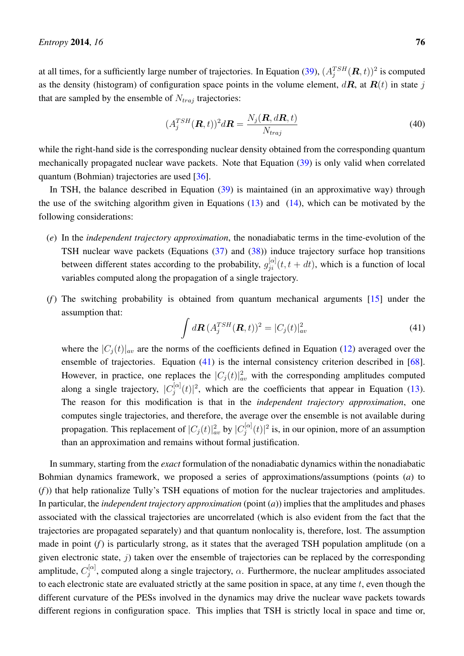at all times, for a sufficiently large number of trajectories. In Equation [\(39\)](#page-13-2),  $(A_j^{TSH}(\boldsymbol{R},t))^2$  is computed as the density (histogram) of configuration space points in the volume element,  $d\mathbf{R}$ , at  $\mathbf{R}(t)$  in state j that are sampled by the ensemble of  $N_{traj}$  trajectories:

$$
(A_j^{TSH}(\boldsymbol{R},t))^2 d\boldsymbol{R} = \frac{N_j(\boldsymbol{R},d\boldsymbol{R},t)}{N_{traj}}
$$
(40)

while the right-hand side is the corresponding nuclear density obtained from the corresponding quantum mechanically propagated nuclear wave packets. Note that Equation [\(39\)](#page-13-2) is only valid when correlated quantum (Bohmian) trajectories are used [\[36\]](#page-20-16).

In TSH, the balance described in Equation [\(39\)](#page-13-2) is maintained (in an approximative way) through the use of the switching algorithm given in Equations  $(13)$  and  $(14)$ , which can be motivated by the following considerations:

- (*e*) In the *independent trajectory approximation*, the nonadiabatic terms in the time-evolution of the TSH nuclear wave packets (Equations [\(37\)](#page-13-0) and [\(38\)](#page-13-1)) induce trajectory surface hop transitions between different states according to the probability,  $g_{ji}^{[\alpha]}(t, t + dt)$ , which is a function of local variables computed along the propagation of a single trajectory.
- (*f*) The switching probability is obtained from quantum mechanical arguments [\[15\]](#page-19-10) under the assumption that:

<span id="page-14-0"></span>
$$
\int d\mathbf{R} \left( A_j^{TSH}(\mathbf{R},t) \right)^2 = |C_j(t)|_{av}^2 \tag{41}
$$

where the  $|C_i(t)|_{av}$  are the norms of the coefficients defined in Equation [\(12\)](#page-5-1) averaged over the ensemble of trajectories. Equation [\(41\)](#page-14-0) is the internal consistency criterion described in [\[68\]](#page-22-8). However, in practice, one replaces the  $|C_j(t)|_{av}^2$  with the corresponding amplitudes computed along a single trajectory,  $|C_i^{[\alpha]}|$  $j^{|\alpha|}(t)|^2$ , which are the coefficients that appear in Equation [\(13\)](#page-5-2). The reason for this modification is that in the *independent trajectory approximation*, one computes single trajectories, and therefore, the average over the ensemble is not available during propagation. This replacement of  $|C_j(t)|^2_{av}$  by  $|C_j^{[\alpha]}|$  $\int_{j}^{\left[\alpha\right]} (t) |^{2}$  is, in our opinion, more of an assumption than an approximation and remains without formal justification.

In summary, starting from the *exact* formulation of the nonadiabatic dynamics within the nonadiabatic Bohmian dynamics framework, we proposed a series of approximations/assumptions (points (*a*) to (*f*)) that help rationalize Tully's TSH equations of motion for the nuclear trajectories and amplitudes. In particular, the *independent trajectory approximation* (point (*a*)) implies that the amplitudes and phases associated with the classical trajectories are uncorrelated (which is also evident from the fact that the trajectories are propagated separately) and that quantum nonlocality is, therefore, lost. The assumption made in point (*f*) is particularly strong, as it states that the averaged TSH population amplitude (on a given electronic state,  $i$ ) taken over the ensemble of trajectories can be replaced by the corresponding amplitude,  $C_i^{[\alpha]}$  $j^{[\alpha]}$ , computed along a single trajectory,  $\alpha$ . Furthermore, the nuclear amplitudes associated to each electronic state are evaluated strictly at the same position in space, at any time  $t$ , even though the different curvature of the PESs involved in the dynamics may drive the nuclear wave packets towards different regions in configuration space. This implies that TSH is strictly local in space and time or,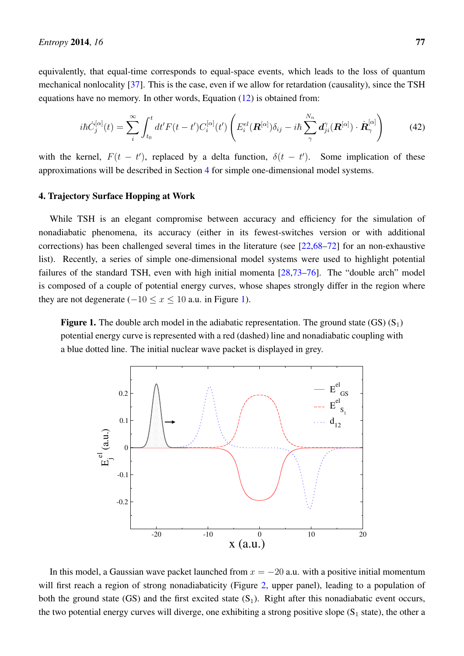equivalently, that equal-time corresponds to equal-space events, which leads to the loss of quantum mechanical nonlocality [\[37\]](#page-20-14). This is the case, even if we allow for retardation (causality), since the TSH equations have no memory. In other words, Equation [\(12\)](#page-5-1) is obtained from:

$$
i\hbar \dot{C}_j^{[\alpha]}(t) = \sum_{i}^{\infty} \int_{t_0}^t dt' F(t-t') C_i^{[\alpha]}(t') \left( E_i^{el}(\boldsymbol{R}^{[\alpha]}) \delta_{ij} - i\hbar \sum_{\gamma}^{N_n} \boldsymbol{d}_{ji}^{\gamma}(\boldsymbol{R}^{[\alpha]}) \cdot \dot{\boldsymbol{R}}_{\gamma}^{[\alpha]} \right) \tag{42}
$$

with the kernel,  $F(t - t')$ , replaced by a delta function,  $\delta(t - t')$ . Some implication of these approximations will be described in Section [4](#page-15-0) for simple one-dimensional model systems.

## <span id="page-15-0"></span>4. Trajectory Surface Hopping at Work

While TSH is an elegant compromise between accuracy and efficiency for the simulation of nonadiabatic phenomena, its accuracy (either in its fewest-switches version or with additional corrections) has been challenged several times in the literature (see [\[22](#page-20-2)[,68–](#page-22-8)[72\]](#page-22-9) for an non-exhaustive list). Recently, a series of simple one-dimensional model systems were used to highlight potential failures of the standard TSH, even with high initial momenta [\[28,](#page-20-7)[73–](#page-22-10)[76\]](#page-23-0). The "double arch" model is composed of a couple of potential energy curves, whose shapes strongly differ in the region where they are not degenerate ( $-10 \le x \le 10$  a.u. in Figure [1\)](#page-15-1).

<span id="page-15-1"></span>**Figure 1.** The double arch model in the adiabatic representation. The ground state  $(GS) (S_1)$ potential energy curve is represented with a red (dashed) line and nonadiabatic coupling with a blue dotted line. The initial nuclear wave packet is displayed in grey.



In this model, a Gaussian wave packet launched from  $x = -20$  a.u. with a positive initial momentum will first reach a region of strong nonadiabaticity (Figure [2,](#page-16-0) upper panel), leading to a population of both the ground state (GS) and the first excited state  $(S_1)$ . Right after this nonadiabatic event occurs, the two potential energy curves will diverge, one exhibiting a strong positive slope  $(S_1$  state), the other a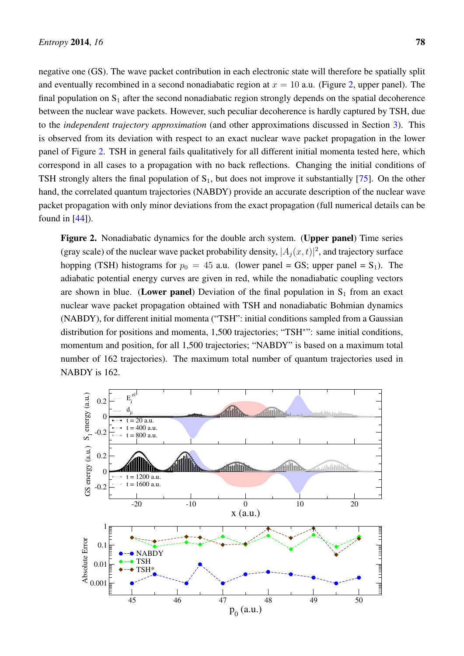negative one (GS). The wave packet contribution in each electronic state will therefore be spatially split and eventually recombined in a second nonadiabatic region at  $x = 10$  a.u. (Figure [2,](#page-16-0) upper panel). The final population on  $S_1$  after the second nonadiabatic region strongly depends on the spatial decoherence between the nuclear wave packets. However, such peculiar decoherence is hardly captured by TSH, due to the *independent trajectory approximation* (and other approximations discussed in Section [3\)](#page-11-0). This is observed from its deviation with respect to an exact nuclear wave packet propagation in the lower panel of Figure [2.](#page-16-0) TSH in general fails qualitatively for all different initial momenta tested here, which correspond in all cases to a propagation with no back reflections. Changing the initial conditions of TSH strongly alters the final population of  $S_1$ , but does not improve it substantially [\[75\]](#page-22-11). On the other hand, the correlated quantum trajectories (NABDY) provide an accurate description of the nuclear wave packet propagation with only minor deviations from the exact propagation (full numerical details can be found in  $[44]$ ).

<span id="page-16-0"></span>Figure 2. Nonadiabatic dynamics for the double arch system. (Upper panel) Time series (gray scale) of the nuclear wave packet probability density,  $|A_j(x, t)|^2$ , and trajectory surface hopping (TSH) histograms for  $p_0 = 45$  a.u. (lower panel = GS; upper panel = S<sub>1</sub>). The adiabatic potential energy curves are given in red, while the nonadiabatic coupling vectors are shown in blue. (Lower panel) Deviation of the final population in  $S_1$  from an exact nuclear wave packet propagation obtained with TSH and nonadiabatic Bohmian dynamics (NABDY), for different initial momenta ("TSH": initial conditions sampled from a Gaussian distribution for positions and momenta, 1,500 trajectories; "TSH\*": same initial conditions, momentum and position, for all 1,500 trajectories; "NABDY" is based on a maximum total number of 162 trajectories). The maximum total number of quantum trajectories used in NABDY is 162.

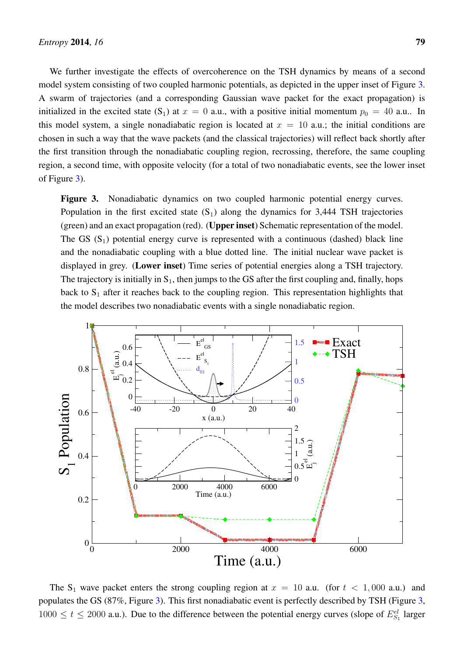We further investigate the effects of overcoherence on the TSH dynamics by means of a second model system consisting of two coupled harmonic potentials, as depicted in the upper inset of Figure [3.](#page-17-0) A swarm of trajectories (and a corresponding Gaussian wave packet for the exact propagation) is initialized in the excited state  $(S_1)$  at  $x = 0$  a.u., with a positive initial momentum  $p_0 = 40$  a.u.. In this model system, a single nonadiabatic region is located at  $x = 10$  a.u.; the initial conditions are chosen in such a way that the wave packets (and the classical trajectories) will reflect back shortly after the first transition through the nonadiabatic coupling region, recrossing, therefore, the same coupling region, a second time, with opposite velocity (for a total of two nonadiabatic events, see the lower inset of Figure [3\)](#page-17-0).

<span id="page-17-0"></span>Figure 3. Nonadiabatic dynamics on two coupled harmonic potential energy curves. Population in the first excited state  $(S_1)$  along the dynamics for 3,444 TSH trajectories (green) and an exact propagation (red). (Upper inset) Schematic representation of the model. The GS  $(S_1)$  potential energy curve is represented with a continuous (dashed) black line and the nonadiabatic coupling with a blue dotted line. The initial nuclear wave packet is displayed in grey. (Lower inset) Time series of potential energies along a TSH trajectory. The trajectory is initially in  $S_1$ , then jumps to the GS after the first coupling and, finally, hops back to  $S_1$  after it reaches back to the coupling region. This representation highlights that the model describes two nonadiabatic events with a single nonadiabatic region.



The S<sub>1</sub> wave packet enters the strong coupling region at  $x = 10$  a.u. (for  $t < 1,000$  a.u.) and populates the GS (87%, Figure [3\)](#page-17-0). This first nonadiabatic event is perfectly described by TSH (Figure [3,](#page-17-0)  $1000 \le t \le 2000$  a.u.). Due to the difference between the potential energy curves (slope of  $E_{S_1}^{el}$  larger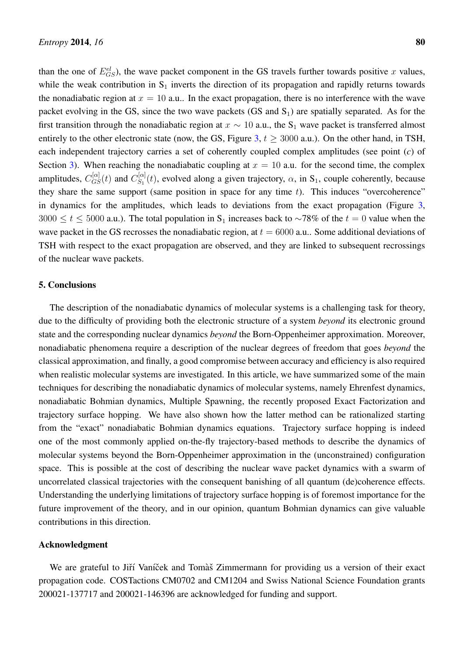than the one of  $E_{GS}^{el}$ ), the wave packet component in the GS travels further towards positive x values, while the weak contribution in  $S_1$  inverts the direction of its propagation and rapidly returns towards the nonadiabatic region at  $x = 10$  a.u.. In the exact propagation, there is no interference with the wave packet evolving in the GS, since the two wave packets (GS and  $S_1$ ) are spatially separated. As for the first transition through the nonadiabatic region at  $x \sim 10$  a.u., the S<sub>1</sub> wave packet is transferred almost entirely to the other electronic state (now, the GS, Figure [3,](#page-17-0)  $t \ge 3000$  a.u.). On the other hand, in TSH, each independent trajectory carries a set of coherently coupled complex amplitudes (see point (*c*) of Section [3\)](#page-11-0). When reaching the nonadiabatic coupling at  $x = 10$  a.u. for the second time, the complex amplitudes,  $C_{GS}^{[\alpha]}(t)$  and  $C_{S_1}^{[\alpha]}$  $S_1^{[\alpha]}(t)$ , evolved along a given trajectory,  $\alpha$ , in  $S_1$ , couple coherently, because they share the same support (same position in space for any time  $t$ ). This induces "overcoherence" in dynamics for the amplitudes, which leads to deviations from the exact propagation (Figure [3,](#page-17-0) 3000 ≤ t ≤ 5000 a.u.). The total population in S<sub>1</sub> increases back to ~78% of the  $t = 0$  value when the wave packet in the GS recrosses the nonadiabatic region, at  $t = 6000$  a.u.. Some additional deviations of TSH with respect to the exact propagation are observed, and they are linked to subsequent recrossings of the nuclear wave packets.

## 5. Conclusions

The description of the nonadiabatic dynamics of molecular systems is a challenging task for theory, due to the difficulty of providing both the electronic structure of a system *beyond* its electronic ground state and the corresponding nuclear dynamics *beyond* the Born-Oppenheimer approximation. Moreover, nonadiabatic phenomena require a description of the nuclear degrees of freedom that goes *beyond* the classical approximation, and finally, a good compromise between accuracy and efficiency is also required when realistic molecular systems are investigated. In this article, we have summarized some of the main techniques for describing the nonadiabatic dynamics of molecular systems, namely Ehrenfest dynamics, nonadiabatic Bohmian dynamics, Multiple Spawning, the recently proposed Exact Factorization and trajectory surface hopping. We have also shown how the latter method can be rationalized starting from the "exact" nonadiabatic Bohmian dynamics equations. Trajectory surface hopping is indeed one of the most commonly applied on-the-fly trajectory-based methods to describe the dynamics of molecular systems beyond the Born-Oppenheimer approximation in the (unconstrained) configuration space. This is possible at the cost of describing the nuclear wave packet dynamics with a swarm of uncorrelated classical trajectories with the consequent banishing of all quantum (de)coherence effects. Understanding the underlying limitations of trajectory surface hopping is of foremost importance for the future improvement of the theory, and in our opinion, quantum Bohmian dynamics can give valuable contributions in this direction.

## Acknowledgment

We are grateful to Jiří Vaníček and Tomàš Zimmermann for providing us a version of their exact propagation code. COSTactions CM0702 and CM1204 and Swiss National Science Foundation grants 200021-137717 and 200021-146396 are acknowledged for funding and support.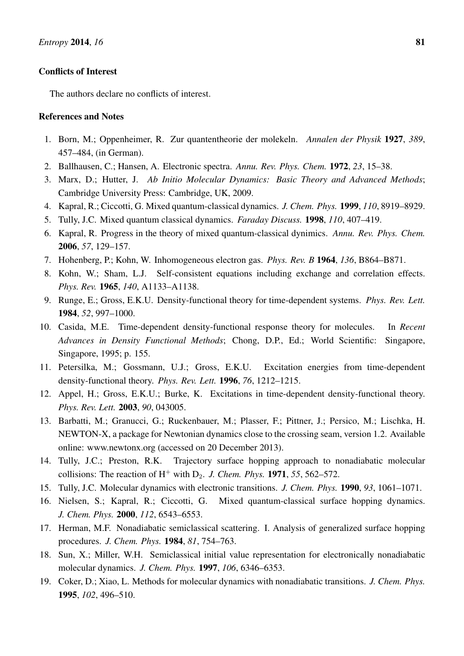# Conflicts of Interest

The authors declare no conflicts of interest.

# References and Notes

- <span id="page-19-0"></span>1. Born, M.; Oppenheimer, R. Zur quantentheorie der molekeln. *Annalen der Physik* 1927, *389*, 457–484, (in German).
- <span id="page-19-1"></span>2. Ballhausen, C.; Hansen, A. Electronic spectra. *Annu. Rev. Phys. Chem.* 1972, *23*, 15–38.
- <span id="page-19-2"></span>3. Marx, D.; Hutter, J. *Ab Initio Molecular Dynamics: Basic Theory and Advanced Methods*; Cambridge University Press: Cambridge, UK, 2009.
- 4. Kapral, R.; Ciccotti, G. Mixed quantum-classical dynamics. *J. Chem. Phys.* 1999, *110*, 8919–8929.
- <span id="page-19-15"></span>5. Tully, J.C. Mixed quantum classical dynamics. *Faraday Discuss.* 1998, *110*, 407–419.
- <span id="page-19-3"></span>6. Kapral, R. Progress in the theory of mixed quantum-classical dynimics. *Annu. Rev. Phys. Chem.* 2006, *57*, 129–157.
- <span id="page-19-4"></span>7. Hohenberg, P.; Kohn, W. Inhomogeneous electron gas. *Phys. Rev. B* 1964, *136*, B864–B871.
- <span id="page-19-5"></span>8. Kohn, W.; Sham, L.J. Self-consistent equations including exchange and correlation effects. *Phys. Rev.* 1965, *140*, A1133–A1138.
- <span id="page-19-6"></span>9. Runge, E.; Gross, E.K.U. Density-functional theory for time-dependent systems. *Phys. Rev. Lett.* 1984, *52*, 997–1000.
- 10. Casida, M.E. Time-dependent density-functional response theory for molecules. In *Recent Advances in Density Functional Methods*; Chong, D.P., Ed.; World Scientific: Singapore, Singapore, 1995; p. 155.
- 11. Petersilka, M.; Gossmann, U.J.; Gross, E.K.U. Excitation energies from time-dependent density-functional theory. *Phys. Rev. Lett.* 1996, *76*, 1212–1215.
- <span id="page-19-7"></span>12. Appel, H.; Gross, E.K.U.; Burke, K. Excitations in time-dependent density-functional theory. *Phys. Rev. Lett.* 2003, *90*, 043005.
- <span id="page-19-8"></span>13. Barbatti, M.; Granucci, G.; Ruckenbauer, M.; Plasser, F.; Pittner, J.; Persico, M.; Lischka, H. NEWTON-X, a package for Newtonian dynamics close to the crossing seam, version 1.2. Available online: www.newtonx.org (accessed on 20 December 2013).
- <span id="page-19-9"></span>14. Tully, J.C.; Preston, R.K. Trajectory surface hopping approach to nonadiabatic molecular collisions: The reaction of  $H^+$  with  $D_2$ . *J. Chem. Phys.* **1971**, 55, 562–572.
- <span id="page-19-10"></span>15. Tully, J.C. Molecular dynamics with electronic transitions. *J. Chem. Phys.* 1990, *93*, 1061–1071.
- <span id="page-19-11"></span>16. Nielsen, S.; Kapral, R.; Ciccotti, G. Mixed quantum-classical surface hopping dynamics. *J. Chem. Phys.* 2000, *112*, 6543–6553.
- <span id="page-19-12"></span>17. Herman, M.F. Nonadiabatic semiclassical scattering. I. Analysis of generalized surface hopping procedures. *J. Chem. Phys.* 1984, *81*, 754–763.
- <span id="page-19-13"></span>18. Sun, X.; Miller, W.H. Semiclassical initial value representation for electronically nonadiabatic molecular dynamics. *J. Chem. Phys.* 1997, *106*, 6346–6353.
- <span id="page-19-14"></span>19. Coker, D.; Xiao, L. Methods for molecular dynamics with nonadiabatic transitions. *J. Chem. Phys.* 1995, *102*, 496–510.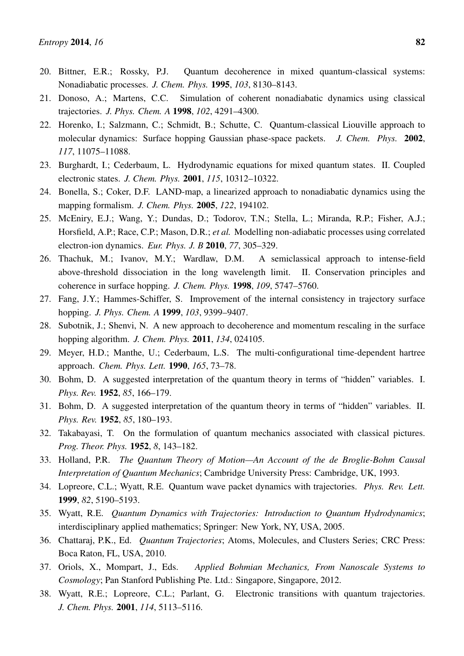- <span id="page-20-0"></span>20. Bittner, E.R.; Rossky, P.J. Quantum decoherence in mixed quantum-classical systems: Nonadiabatic processes. *J. Chem. Phys.* 1995, *103*, 8130–8143.
- <span id="page-20-1"></span>21. Donoso, A.; Martens, C.C. Simulation of coherent nonadiabatic dynamics using classical trajectories. *J. Phys. Chem. A* 1998, *102*, 4291–4300.
- <span id="page-20-2"></span>22. Horenko, I.; Salzmann, C.; Schmidt, B.; Schutte, C. Quantum-classical Liouville approach to molecular dynamics: Surface hopping Gaussian phase-space packets. *J. Chem. Phys.* 2002, *117*, 11075–11088.
- <span id="page-20-3"></span>23. Burghardt, I.; Cederbaum, L. Hydrodynamic equations for mixed quantum states. II. Coupled electronic states. *J. Chem. Phys.* 2001, *115*, 10312–10322.
- <span id="page-20-4"></span>24. Bonella, S.; Coker, D.F. LAND-map, a linearized approach to nonadiabatic dynamics using the mapping formalism. *J. Chem. Phys.* 2005, *122*, 194102.
- <span id="page-20-5"></span>25. McEniry, E.J.; Wang, Y.; Dundas, D.; Todorov, T.N.; Stella, L.; Miranda, R.P.; Fisher, A.J.; Horsfield, A.P.; Race, C.P.; Mason, D.R.; *et al.* Modelling non-adiabatic processes using correlated electron-ion dynamics. *Eur. Phys. J. B* 2010, *77*, 305–329.
- <span id="page-20-6"></span>26. Thachuk, M.; Ivanov, M.Y.; Wardlaw, D.M. A semiclassical approach to intense-field above-threshold dissociation in the long wavelength limit. II. Conservation principles and coherence in surface hopping. *J. Chem. Phys.* 1998, *109*, 5747–5760.
- 27. Fang, J.Y.; Hammes-Schiffer, S. Improvement of the internal consistency in trajectory surface hopping. *J. Phys. Chem. A* 1999, *103*, 9399–9407.
- <span id="page-20-7"></span>28. Subotnik, J.; Shenvi, N. A new approach to decoherence and momentum rescaling in the surface hopping algorithm. *J. Chem. Phys.* 2011, *134*, 024105.
- <span id="page-20-8"></span>29. Meyer, H.D.; Manthe, U.; Cederbaum, L.S. The multi-configurational time-dependent hartree approach. *Chem. Phys. Lett.* 1990, *165*, 73–78.
- <span id="page-20-9"></span>30. Bohm, D. A suggested interpretation of the quantum theory in terms of "hidden" variables. I. *Phys. Rev.* 1952, *85*, 166–179.
- 31. Bohm, D. A suggested interpretation of the quantum theory in terms of "hidden" variables. II. *Phys. Rev.* 1952, *85*, 180–193.
- <span id="page-20-10"></span>32. Takabayasi, T. On the formulation of quantum mechanics associated with classical pictures. *Prog. Theor. Phys.* 1952, *8*, 143–182.
- <span id="page-20-11"></span>33. Holland, P.R. *The Quantum Theory of Motion—An Account of the de Broglie-Bohm Causal Interpretation of Quantum Mechanics*; Cambridge University Press: Cambridge, UK, 1993.
- <span id="page-20-12"></span>34. Lopreore, C.L.; Wyatt, R.E. Quantum wave packet dynamics with trajectories. *Phys. Rev. Lett.* 1999, *82*, 5190–5193.
- <span id="page-20-13"></span>35. Wyatt, R.E. *Quantum Dynamics with Trajectories: Introduction to Quantum Hydrodynamics*; interdisciplinary applied mathematics; Springer: New York, NY, USA, 2005.
- <span id="page-20-16"></span>36. Chattaraj, P.K., Ed. *Quantum Trajectories*; Atoms, Molecules, and Clusters Series; CRC Press: Boca Raton, FL, USA, 2010.
- <span id="page-20-14"></span>37. Oriols, X., Mompart, J., Eds. *Applied Bohmian Mechanics, From Nanoscale Systems to Cosmology*; Pan Stanford Publishing Pte. Ltd.: Singapore, Singapore, 2012.
- <span id="page-20-15"></span>38. Wyatt, R.E.; Lopreore, C.L.; Parlant, G. Electronic transitions with quantum trajectories. *J. Chem. Phys.* 2001, *114*, 5113–5116.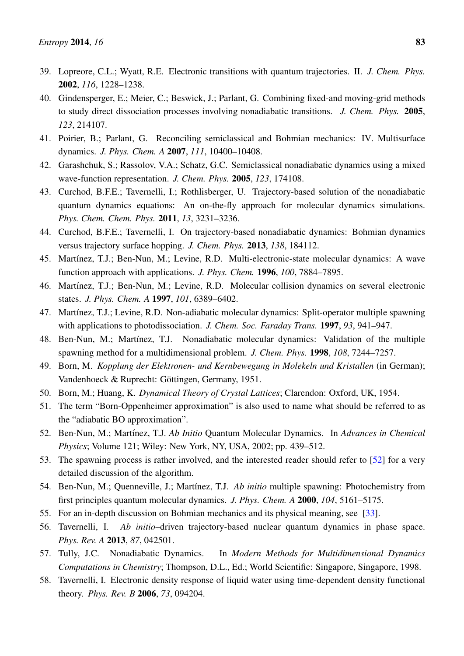- 39. Lopreore, C.L.; Wyatt, R.E. Electronic transitions with quantum trajectories. II. *J. Chem. Phys.* 2002, *116*, 1228–1238.
- 40. Gindensperger, E.; Meier, C.; Beswick, J.; Parlant, G. Combining fixed-and moving-grid methods to study direct dissociation processes involving nonadiabatic transitions. *J. Chem. Phys.* 2005, *123*, 214107.
- 41. Poirier, B.; Parlant, G. Reconciling semiclassical and Bohmian mechanics: IV. Multisurface dynamics. *J. Phys. Chem. A* 2007, *111*, 10400–10408.
- <span id="page-21-0"></span>42. Garashchuk, S.; Rassolov, V.A.; Schatz, G.C. Semiclassical nonadiabatic dynamics using a mixed wave-function representation. *J. Chem. Phys.* 2005, *123*, 174108.
- <span id="page-21-1"></span>43. Curchod, B.F.E.; Tavernelli, I.; Rothlisberger, U. Trajectory-based solution of the nonadiabatic quantum dynamics equations: An on-the-fly approach for molecular dynamics simulations. *Phys. Chem. Chem. Phys.* 2011, *13*, 3231–3236.
- <span id="page-21-2"></span>44. Curchod, B.F.E.; Tavernelli, I. On trajectory-based nonadiabatic dynamics: Bohmian dynamics versus trajectory surface hopping. *J. Chem. Phys.* 2013, *138*, 184112.
- <span id="page-21-3"></span>45. Martínez, T.J.; Ben-Nun, M.; Levine, R.D. Multi-electronic-state molecular dynamics: A wave function approach with applications. *J. Phys. Chem.* 1996, *100*, 7884–7895.
- 46. Martínez, T.J.; Ben-Nun, M.; Levine, R.D. Molecular collision dynamics on several electronic states. *J. Phys. Chem. A* 1997, *101*, 6389–6402.
- 47. Martínez, T.J.; Levine, R.D. Non-adiabatic molecular dynamics: Split-operator multiple spawning with applications to photodissociation. *J. Chem. Soc. Faraday Trans.* 1997, *93*, 941–947.
- <span id="page-21-4"></span>48. Ben-Nun, M.; Martínez, T.J. Nonadiabatic molecular dynamics: Validation of the multiple spawning method for a multidimensional problem. *J. Chem. Phys.* 1998, *108*, 7244–7257.
- <span id="page-21-5"></span>49. Born, M. *Kopplung der Elektronen- und Kernbewegung in Molekeln und Kristallen* (in German); Vandenhoeck & Ruprecht: Göttingen, Germany, 1951.
- <span id="page-21-6"></span>50. Born, M.; Huang, K. *Dynamical Theory of Crystal Lattices*; Clarendon: Oxford, UK, 1954.
- <span id="page-21-7"></span>51. The term "Born-Oppenheimer approximation" is also used to name what should be referred to as the "adiabatic BO approximation".
- <span id="page-21-8"></span>52. Ben-Nun, M.; Mart´ınez, T.J. *Ab Initio* Quantum Molecular Dynamics. In *Advances in Chemical Physics*; Volume 121; Wiley: New York, NY, USA, 2002; pp. 439–512.
- <span id="page-21-9"></span>53. The spawning process is rather involved, and the interested reader should refer to [\[52\]](#page-21-8) for a very detailed discussion of the algorithm.
- <span id="page-21-10"></span>54. Ben-Nun, M.; Quenneville, J.; Martínez, T.J. *Ab initio* multiple spawning: Photochemistry from first principles quantum molecular dynamics. *J. Phys. Chem. A* 2000, *104*, 5161–5175.
- <span id="page-21-11"></span>55. For an in-depth discussion on Bohmian mechanics and its physical meaning, see [\[33\]](#page-20-11).
- <span id="page-21-12"></span>56. Tavernelli, I. *Ab initio*–driven trajectory-based nuclear quantum dynamics in phase space. *Phys. Rev. A* 2013, *87*, 042501.
- <span id="page-21-13"></span>57. Tully, J.C. Nonadiabatic Dynamics. In *Modern Methods for Multidimensional Dynamics Computations in Chemistry*; Thompson, D.L., Ed.; World Scientific: Singapore, Singapore, 1998.
- <span id="page-21-14"></span>58. Tavernelli, I. Electronic density response of liquid water using time-dependent density functional theory. *Phys. Rev. B* 2006, *73*, 094204.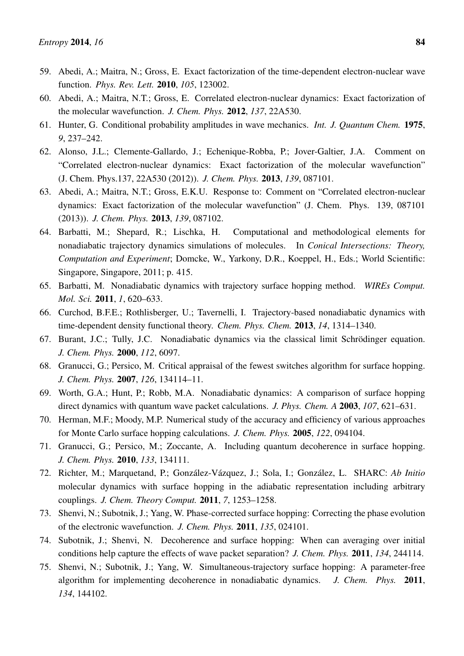- <span id="page-22-0"></span>59. Abedi, A.; Maitra, N.; Gross, E. Exact factorization of the time-dependent electron-nuclear wave function. *Phys. Rev. Lett.* 2010, *105*, 123002.
- <span id="page-22-1"></span>60. Abedi, A.; Maitra, N.T.; Gross, E. Correlated electron-nuclear dynamics: Exact factorization of the molecular wavefunction. *J. Chem. Phys.* 2012, *137*, 22A530.
- <span id="page-22-2"></span>61. Hunter, G. Conditional probability amplitudes in wave mechanics. *Int. J. Quantum Chem.* 1975, *9*, 237–242.
- <span id="page-22-3"></span>62. Alonso, J.L.; Clemente-Gallardo, J.; Echenique-Robba, P.; Jover-Galtier, J.A. Comment on "Correlated electron-nuclear dynamics: Exact factorization of the molecular wavefunction" (J. Chem. Phys.137, 22A530 (2012)). *J. Chem. Phys.* 2013, *139*, 087101.
- <span id="page-22-4"></span>63. Abedi, A.; Maitra, N.T.; Gross, E.K.U. Response to: Comment on "Correlated electron-nuclear dynamics: Exact factorization of the molecular wavefunction" (J. Chem. Phys. 139, 087101 (2013)). *J. Chem. Phys.* 2013, *139*, 087102.
- <span id="page-22-5"></span>64. Barbatti, M.; Shepard, R.; Lischka, H. Computational and methodological elements for nonadiabatic trajectory dynamics simulations of molecules. In *Conical Intersections: Theory, Computation and Experiment*; Domcke, W., Yarkony, D.R., Koeppel, H., Eds.; World Scientific: Singapore, Singapore, 2011; p. 415.
- 65. Barbatti, M. Nonadiabatic dynamics with trajectory surface hopping method. *WIREs Comput. Mol. Sci.* 2011, *1*, 620–633.
- <span id="page-22-6"></span>66. Curchod, B.F.E.; Rothlisberger, U.; Tavernelli, I. Trajectory-based nonadiabatic dynamics with time-dependent density functional theory. *Chem. Phys. Chem.* 2013, *14*, 1314–1340.
- <span id="page-22-7"></span>67. Burant, J.C.; Tully, J.C. Nonadiabatic dynamics via the classical limit Schrodinger equation. ¨ *J. Chem. Phys.* 2000, *112*, 6097.
- <span id="page-22-8"></span>68. Granucci, G.; Persico, M. Critical appraisal of the fewest switches algorithm for surface hopping. *J. Chem. Phys.* 2007, *126*, 134114–11.
- 69. Worth, G.A.; Hunt, P.; Robb, M.A. Nonadiabatic dynamics: A comparison of surface hopping direct dynamics with quantum wave packet calculations. *J. Phys. Chem. A* 2003, *107*, 621–631.
- 70. Herman, M.F.; Moody, M.P. Numerical study of the accuracy and efficiency of various approaches for Monte Carlo surface hopping calculations. *J. Chem. Phys.* 2005, *122*, 094104.
- 71. Granucci, G.; Persico, M.; Zoccante, A. Including quantum decoherence in surface hopping. *J. Chem. Phys.* 2010, *133*, 134111.
- <span id="page-22-9"></span>72. Richter, M.; Marquetand, P.; González-Vázquez, J.; Sola, I.; González, L. SHARC: Ab Initio molecular dynamics with surface hopping in the adiabatic representation including arbitrary couplings. *J. Chem. Theory Comput.* 2011, *7*, 1253–1258.
- <span id="page-22-10"></span>73. Shenvi, N.; Subotnik, J.; Yang, W. Phase-corrected surface hopping: Correcting the phase evolution of the electronic wavefunction. *J. Chem. Phys.* 2011, *135*, 024101.
- 74. Subotnik, J.; Shenvi, N. Decoherence and surface hopping: When can averaging over initial conditions help capture the effects of wave packet separation? *J. Chem. Phys.* 2011, *134*, 244114.
- <span id="page-22-11"></span>75. Shenvi, N.; Subotnik, J.; Yang, W. Simultaneous-trajectory surface hopping: A parameter-free algorithm for implementing decoherence in nonadiabatic dynamics. *J. Chem. Phys.* 2011, *134*, 144102.